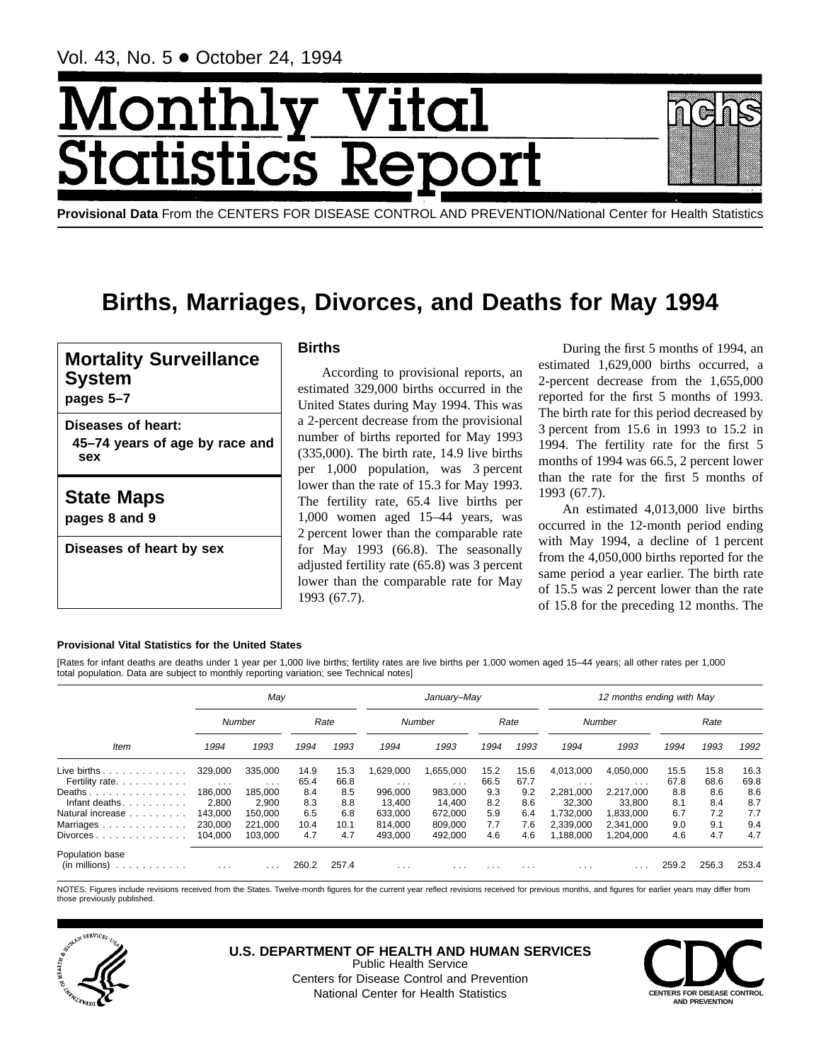# Monthl Vital tics Re **itatist**



# **Births, Marriages, Divorces, and Deaths for May 1994**

## **Mortality Surveillance System**

**pages 5–7**

**Diseases of heart: 45–74 years of age by race and sex**

### **State Maps**

**pages 8 and 9**

**Diseases of heart by sex**

### **Births**

According to provisional reports, an estimated 329,000 births occurred in the United States during May 1994. This was a 2-percent decrease from the provisional number of births reported for May 1993 (335,000). The birth rate, 14.9 live births per 1,000 population, was 3 percent lower than the rate of 15.3 for May 1993. The fertility rate, 65.4 live births per 1,000 women aged 15–44 years, was 2 percent lower than the comparable rate for May 1993 (66.8). The seasonally adjusted fertility rate (65.8) was 3 percent lower than the comparable rate for May 1993 (67.7).

During the first 5 months of 1994, an estimated 1,629,000 births occurred, a 2-percent decrease from the 1,655,000 reported for the first 5 months of 1993. The birth rate for this period decreased by 3 percent from 15.6 in 1993 to 15.2 in 1994. The fertility rate for the first 5 months of 1994 was 66.5, 2 percent lower than the rate for the first 5 months of 1993 (67.7).

An estimated 4,013,000 live births occurred in the 12-month period ending with May 1994, a decline of 1 percent from the 4,050,000 births reported for the same period a year earlier. The birth rate of 15.5 was 2 percent lower than the rate of 15.8 for the preceding 12 months. The

#### **Provisional Vital Statistics for the United States**

[Rates for infant deaths are deaths under 1 year per 1,000 live births; fertility rates are live births per 1,000 women aged 15–44 years; all other rates per 1,000 total population. Data are subject to monthly reporting variation; see Technical notes]

|                                          |                                 | May                 |              |              |                         | January-May           |              |              |                        | 12 months ending with May            |              |              |              |
|------------------------------------------|---------------------------------|---------------------|--------------|--------------|-------------------------|-----------------------|--------------|--------------|------------------------|--------------------------------------|--------------|--------------|--------------|
|                                          |                                 | Number              |              | Rate         |                         | Number                |              | Rate         |                        | Number                               |              | Rate         |              |
| Item                                     | 1994                            | 1993                | 1994         | 1993         | 1994                    | 1993                  | 1994         | 1993         | 1994                   | 1993                                 | 1994         | 1993         | 1992         |
| Live births $\ldots$<br>Fertility rate.  | 329,000<br>$\sim$ $\sim$ $\sim$ | 335.000<br>$\cdots$ | 14.9<br>65.4 | 15.3<br>66.8 | 1,629,000<br>$\cdots$   | 1,655,000<br>$\cdots$ | 15.2<br>66.5 | 15.6<br>67.7 | 4,013,000<br>$\cdots$  | 4,050,000<br>$\cdot$ $\cdot$ $\cdot$ | 15.5<br>67.8 | 15.8<br>68.6 | 16.3<br>69.8 |
| Deaths<br>Infant deaths                  | 186.000<br>2,800                | 185.000<br>2,900    | 8.4<br>8.3   | 8.5<br>8.8   | 996.000<br>13,400       | 983,000<br>14,400     | 9.3<br>8.2   | 9.2<br>8.6   | 2,281,000<br>32,300    | 2.217.000<br>33,800                  | 8.8<br>8.1   | 8.6<br>8.4   | 8.6<br>8.7   |
| Natural increase<br>Marriages            | 143.000<br>230,000              | 150,000<br>221.000  | 6.5<br>10.4  | 6.8<br>10.1  | 633.000<br>814.000      | 672.000<br>809.000    | 5.9<br>7.7   | 6.4<br>7.6   | 1.732.000<br>2.339.000 | 1.833.000<br>2.341.000               | 6.7<br>9.0   | 7.2<br>9.1   | 7.7<br>9.4   |
| $Divorces \dots \dots \dots \dots \dots$ | 104,000                         | 103.000             | 4.7          | 4.7          | 493.000                 | 492.000               | 4.6          | 4.6          | 1.188.000              | 1.204.000                            | 4.6          | 4.7          | 4.7          |
| Population base<br>(in millions)         | $\cdots$                        | .                   | 260.2        | 257.4        | $\cdot$ $\cdot$ $\cdot$ | $\cdots$              | .            | $\cdots$     | $\cdots$               |                                      | 259.2        | 256.3        | 253.4        |

NOTES: Figures include revisions received from the States. Twelve-month figures for the current year reflect revisions received for previous months, and figures for earlier years may differ from those previously published.



**U.S. DEPARTMENT OF HEALTH AND HUMAN SERVICES** Public Health Service Centers for Disease Control and Prevention

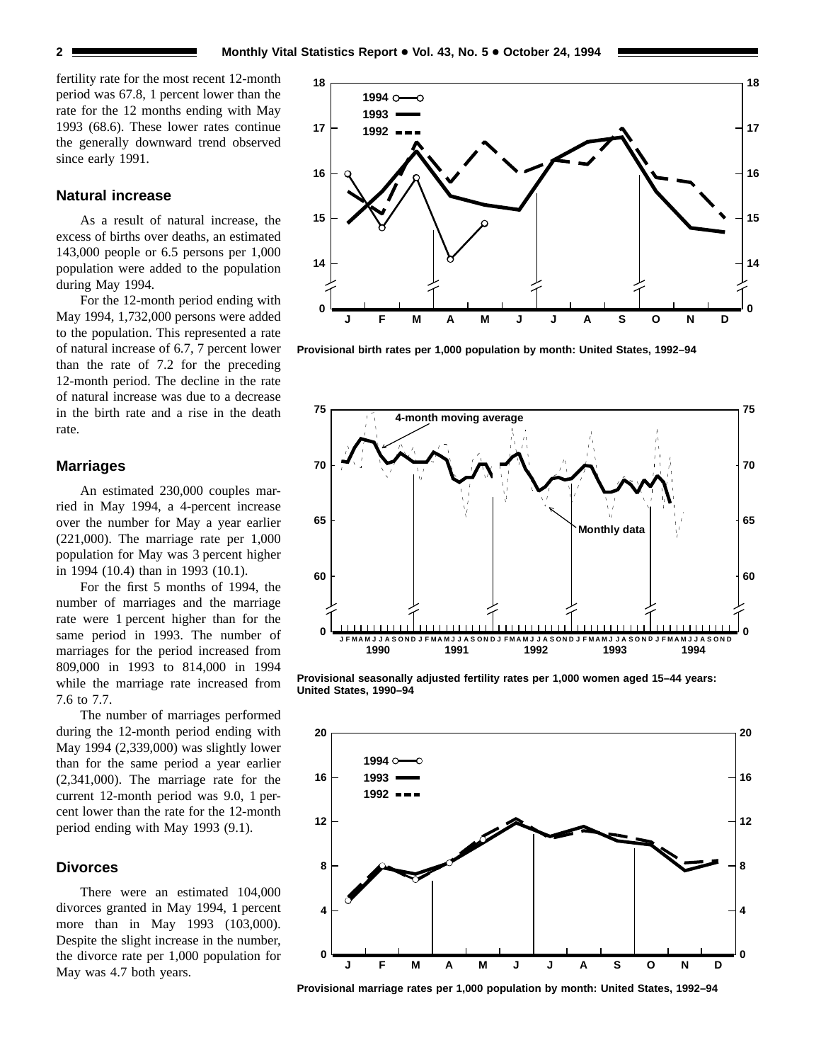fertility rate for the most recent 12-month period was 67.8, 1 percent lower than the rate for the 12 months ending with May 1993 (68.6). These lower rates continue the generally downward trend observed since early 1991.

#### **Natural increase**

As a result of natural increase, the excess of births over deaths, an estimated 143,000 people or 6.5 persons per 1,000 population were added to the population during May 1994.

For the 12-month period ending with May 1994, 1,732,000 persons were added to the population. This represented a rate of natural increase of 6.7, 7 percent lower than the rate of 7.2 for the preceding 12-month period. The decline in the rate of natural increase was due to a decrease in the birth rate and a rise in the death rate.

#### **Marriages**

An estimated 230,000 couples married in May 1994, a 4-percent increase over the number for May a year earlier (221,000). The marriage rate per 1,000 population for May was 3 percent higher in 1994 (10.4) than in 1993 (10.1).

For the first 5 months of 1994, the number of marriages and the marriage rate were 1 percent higher than for the same period in 1993. The number of marriages for the period increased from 809,000 in 1993 to 814,000 in 1994 while the marriage rate increased from 7.6 to 7.7.

The number of marriages performed during the 12-month period ending with May 1994 (2,339,000) was slightly lower than for the same period a year earlier (2,341,000). The marriage rate for the current 12-month period was 9.0, 1 percent lower than the rate for the 12-month period ending with May 1993 (9.1).

#### **Divorces**

There were an estimated 104,000 divorces granted in May 1994, 1 percent more than in May 1993 (103,000). Despite the slight increase in the number, the divorce rate per 1,000 population for May was 4.7 both years.



**Provisional birth rates per 1,000 population by month: United States, 1992–94**



**Provisional seasonally adjusted fertility rates per 1,000 women aged 15–44 years: United States, 1990–94**



**Provisional marriage rates per 1,000 population by month: United States, 1992–94**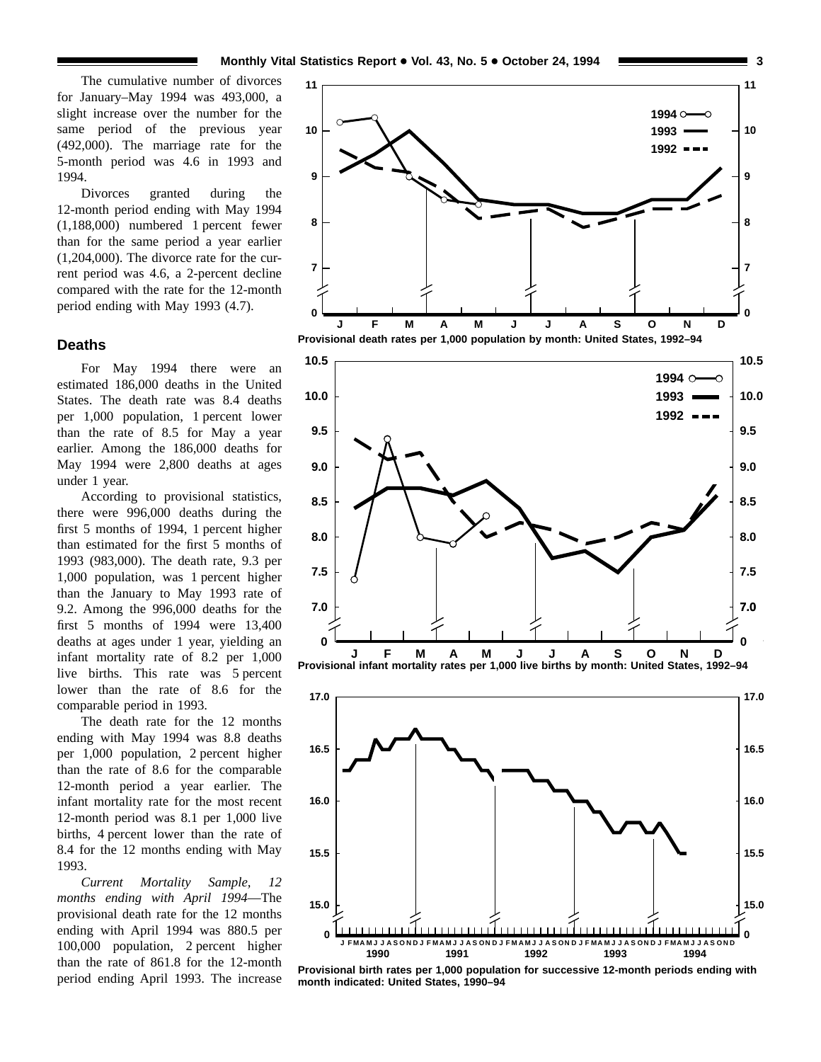The cumulative number of divorces for January–May 1994 was 493,000, a slight increase over the number for the same period of the previous year (492,000). The marriage rate for the 5-month period was 4.6 in 1993 and 1994.

Divorces granted during the 12-month period ending with May 1994 (1,188,000) numbered 1 percent fewer than for the same period a year earlier (1,204,000). The divorce rate for the current period was 4.6, a 2-percent decline compared with the rate for the 12-month period ending with May 1993 (4.7).

#### **Deaths**

For May 1994 there were an estimated 186,000 deaths in the United States. The death rate was 8.4 deaths per 1,000 population, 1 percent lower than the rate of 8.5 for May a year earlier. Among the 186,000 deaths for May 1994 were 2,800 deaths at ages under 1 year.

According to provisional statistics, there were 996,000 deaths during the first 5 months of 1994, 1 percent higher than estimated for the first 5 months of 1993 (983,000). The death rate, 9.3 per 1,000 population, was 1 percent higher than the January to May 1993 rate of 9.2. Among the 996,000 deaths for the first 5 months of 1994 were 13,400 deaths at ages under 1 year, yielding an infant mortality rate of 8.2 per 1,000 live births. This rate was 5 percent lower than the rate of 8.6 for the comparable period in 1993.

The death rate for the 12 months ending with May 1994 was 8.8 deaths per 1,000 population, 2 percent higher than the rate of 8.6 for the comparable 12-month period a year earlier. The infant mortality rate for the most recent 12-month period was 8.1 per 1,000 live births, 4 percent lower than the rate of 8.4 for the 12 months ending with May 1993.

*Current Mortality Sample, 12 months ending with April 1994*—The provisional death rate for the 12 months ending with April 1994 was 880.5 per 100,000 population, 2 percent higher than the rate of 861.8 for the 12-month period ending April 1993. The increase







**Provisional birth rates per 1,000 population for successive 12-month periods ending with month indicated: United States, 1990–94**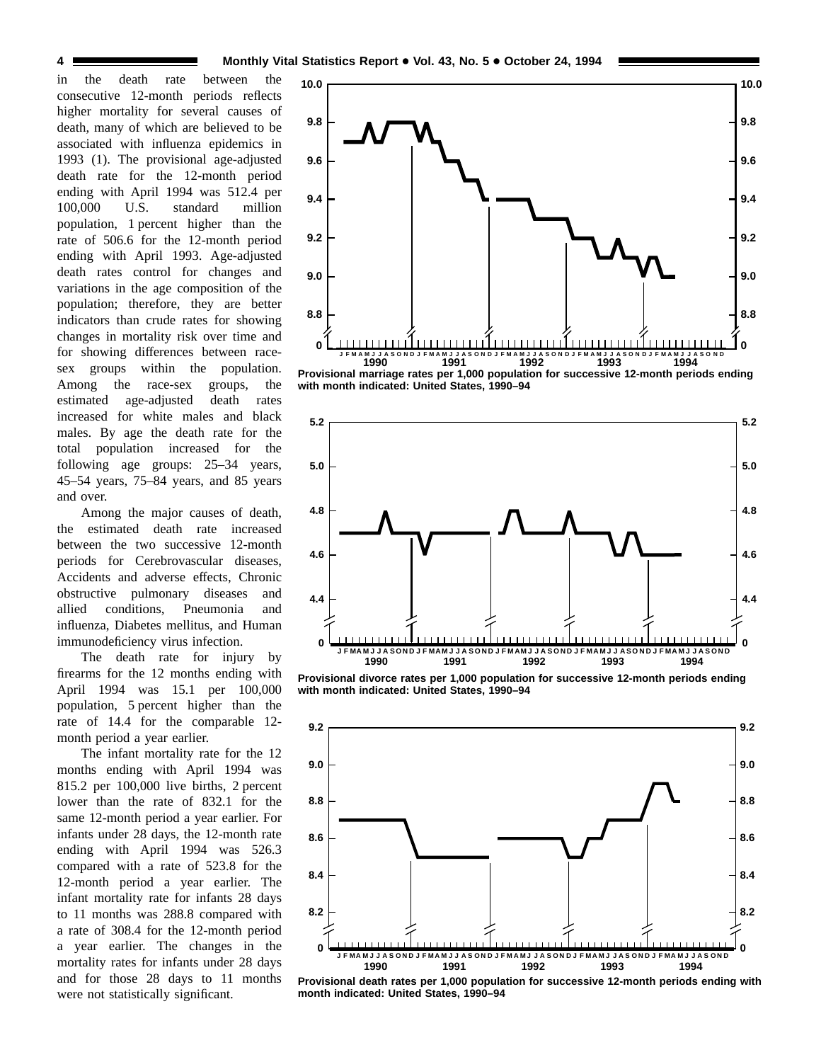in the death rate between the consecutive 12-month periods reflects higher mortality for several causes of death, many of which are believed to be associated with influenza epidemics in 1993 (1). The provisional age-adjusted death rate for the 12-month period ending with April 1994 was 512.4 per 100,000 U.S. standard million population, 1 percent higher than the rate of 506.6 for the 12-month period ending with April 1993. Age-adjusted death rates control for changes and variations in the age composition of the population; therefore, they are better indicators than crude rates for showing changes in mortality risk over time and for showing differences between racesex groups within the population. Among the race-sex groups, the estimated age-adjusted death rates increased for white males and black males. By age the death rate for the total population increased for the following age groups: 25–34 years, 45–54 years, 75–84 years, and 85 years and over.

Among the major causes of death, the estimated death rate increased between the two successive 12-month periods for Cerebrovascular diseases, Accidents and adverse effects, Chronic obstructive pulmonary diseases and allied conditions, Pneumonia and influenza, Diabetes mellitus, and Human immunodeficiency virus infection.

The death rate for injury by firearms for the 12 months ending with April 1994 was 15.1 per 100,000 population, 5 percent higher than the rate of 14.4 for the comparable 12 month period a year earlier.

The infant mortality rate for the 12 months ending with April 1994 was 815.2 per 100,000 live births, 2 percent lower than the rate of 832.1 for the same 12-month period a year earlier. For infants under 28 days, the 12-month rate ending with April 1994 was 526.3 compared with a rate of 523.8 for the 12-month period a year earlier. The infant mortality rate for infants 28 days to 11 months was 288.8 compared with a rate of 308.4 for the 12-month period a year earlier. The changes in the mortality rates for infants under 28 days and for those 28 days to 11 months were not statistically significant.



**Provisional marriage rates per 1,000 population for successive 12-month periods ending with month indicated: United States, 1990–94**



**Provisional divorce rates per 1,000 population for successive 12-month periods ending with month indicated: United States, 1990–94**



**Provisional death rates per 1,000 population for successive 12-month periods ending with month indicated: United States, 1990–94**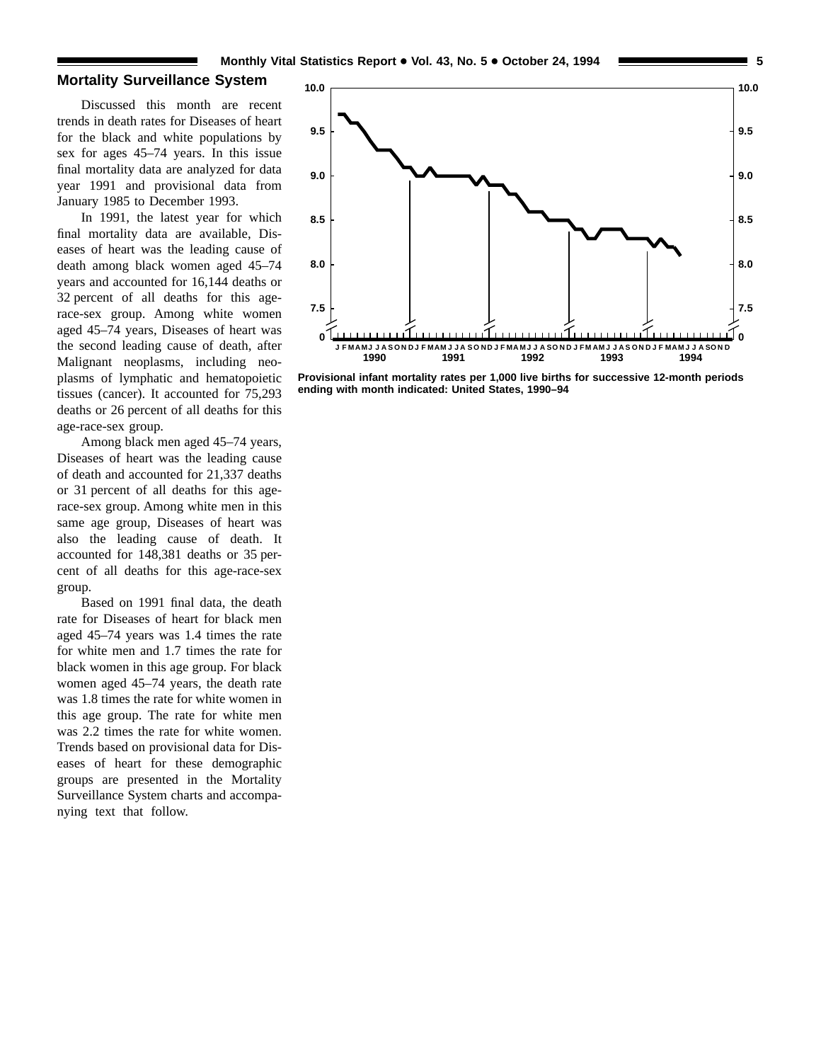#### **Mortality Surveillance System**

Discussed this month are recent trends in death rates for Diseases of heart for the black and white populations by sex for ages 45–74 years. In this issue final mortality data are analyzed for data year 1991 and provisional data from January 1985 to December 1993.

In 1991, the latest year for which final mortality data are available, Diseases of heart was the leading cause of death among black women aged 45–74 years and accounted for 16,144 deaths or 32 percent of all deaths for this agerace-sex group. Among white women aged 45–74 years, Diseases of heart was the second leading cause of death, after Malignant neoplasms, including neoplasms of lymphatic and hematopoietic tissues (cancer). It accounted for 75,293 deaths or 26 percent of all deaths for this age-race-sex group.

Among black men aged 45–74 years, Diseases of heart was the leading cause of death and accounted for 21,337 deaths or 31 percent of all deaths for this agerace-sex group. Among white men in this same age group, Diseases of heart was also the leading cause of death. It accounted for 148,381 deaths or 35 percent of all deaths for this age-race-sex group.

Based on 1991 final data, the death rate for Diseases of heart for black men aged 45–74 years was 1.4 times the rate for white men and 1.7 times the rate for black women in this age group. For black women aged 45–74 years, the death rate was 1.8 times the rate for white women in this age group. The rate for white men was 2.2 times the rate for white women. Trends based on provisional data for Diseases of heart for these demographic groups are presented in the Mortality Surveillance System charts and accompanying text that follow.



**Provisional infant mortality rates per 1,000 live births for successive 12-month periods ending with month indicated: United States, 1990–94**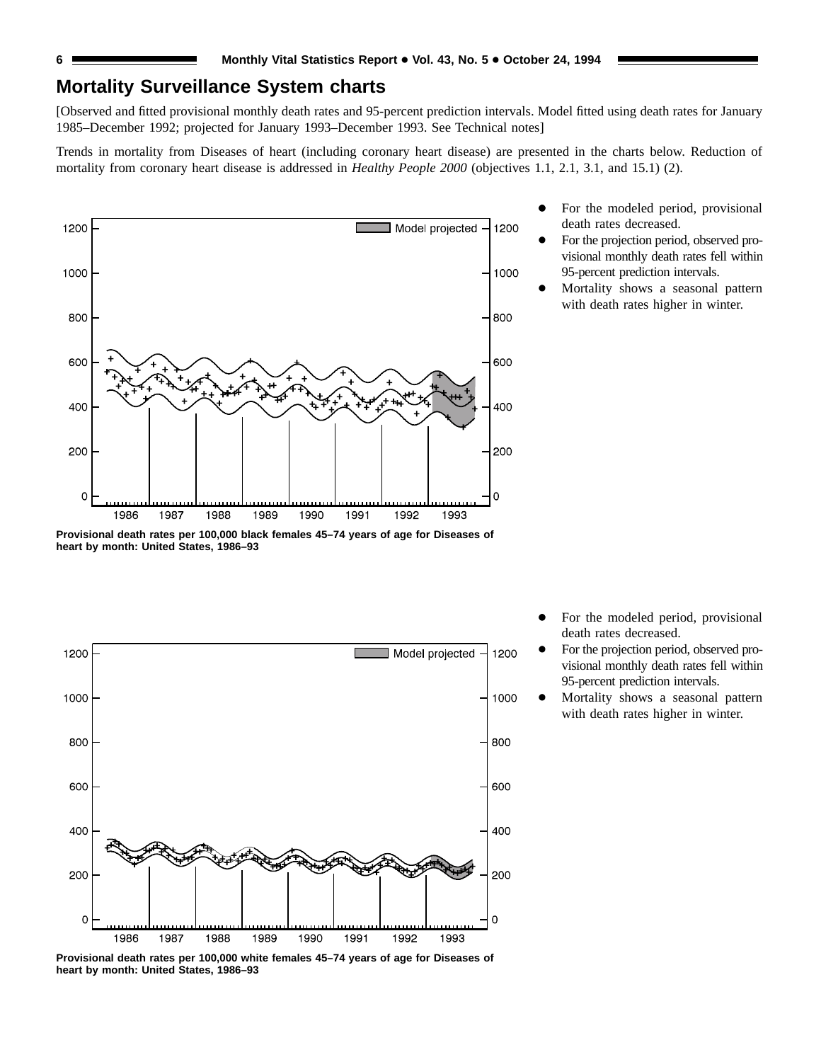### **Mortality Surveillance System charts**

[Observed and fitted provisional monthly death rates and 95-percent prediction intervals. Model fitted using death rates for January 1985–December 1992; projected for January 1993–December 1993. See Technical notes]

Trends in mortality from Diseases of heart (including coronary heart disease) are presented in the charts below. Reduction of mortality from coronary heart disease is addressed in *Healthy People 2000* (objectives 1.1, 2.1, 3.1, and 15.1) (2).



**Provisional death rates per 100,000 black females 45–74 years of age for Diseases of heart by month: United States, 1986–93**



For the modeled period, provisional death rates decreased.

- For the projection period, observed provisional monthly death rates fell within 95-percent prediction intervals.
- Mortality shows a seasonal pattern with death rates higher in winter.

- For the modeled period, provisional death rates decreased.
- For the projection period, observed provisional monthly death rates fell within 95-percent prediction intervals.
- Mortality shows a seasonal pattern with death rates higher in winter.

**Provisional death rates per 100,000 white females 45–74 years of age for Diseases of heart by month: United States, 1986–93**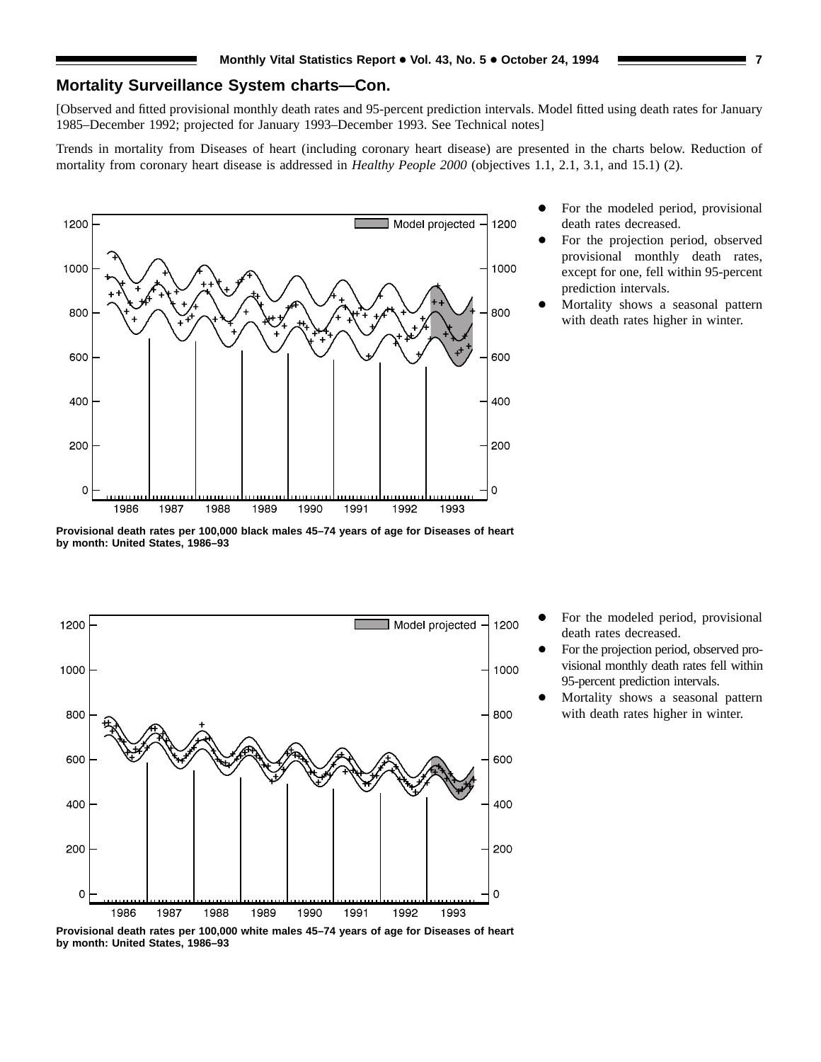### **Mortality Surveillance System charts—Con.**

[Observed and fitted provisional monthly death rates and 95-percent prediction intervals. Model fitted using death rates for January 1985–December 1992; projected for January 1993–December 1993. See Technical notes]

Trends in mortality from Diseases of heart (including coronary heart disease) are presented in the charts below. Reduction of mortality from coronary heart disease is addressed in *Healthy People 2000* (objectives 1.1, 2.1, 3.1, and 15.1) (2).



- For the modeled period, provisional death rates decreased.
- For the projection period, observed provisional monthly death rates, except for one, fell within 95-percent prediction intervals.
- Mortality shows a seasonal pattern with death rates higher in winter.

**Provisional death rates per 100,000 black males 45–74 years of age for Diseases of heart by month: United States, 1986–93**



- For the modeled period, provisional death rates decreased.
- For the projection period, observed provisional monthly death rates fell within 95-percent prediction intervals.
- Mortality shows a seasonal pattern with death rates higher in winter.

**Provisional death rates per 100,000 white males 45–74 years of age for Diseases of heart by month: United States, 1986–93**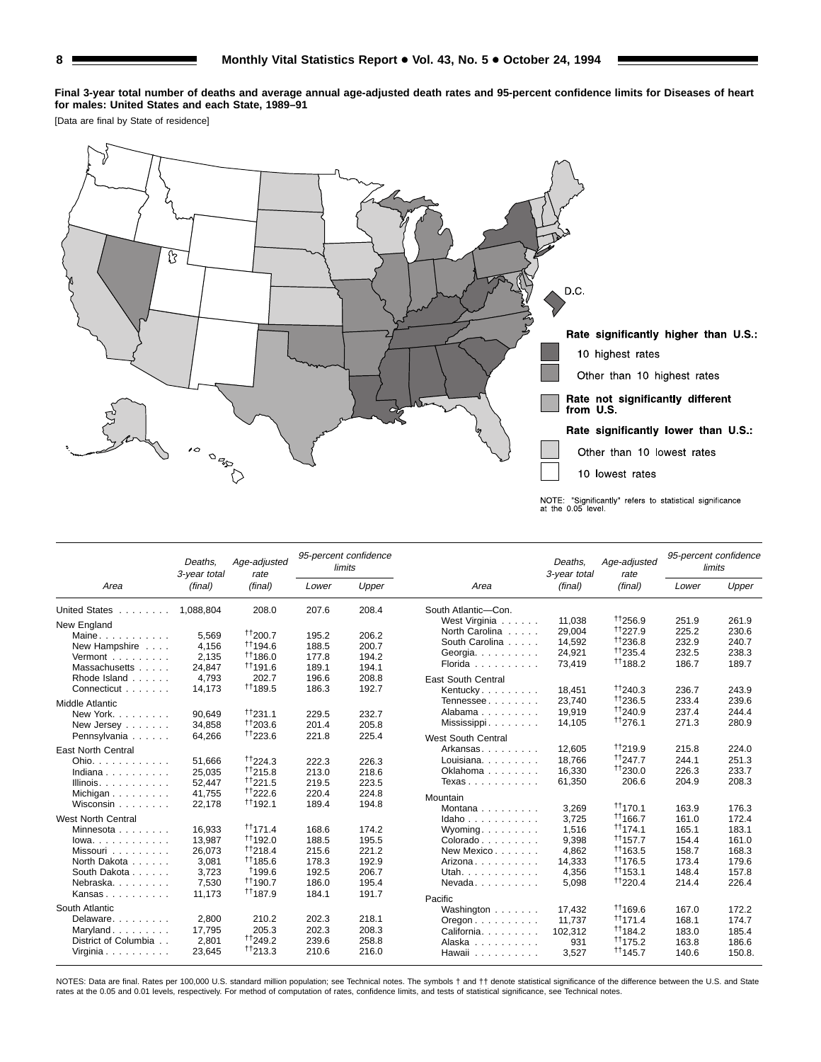**Final 3-year total number of deaths and average annual age-adjusted death rates and 95-percent confidence limits for Diseases of heart for males: United States and each State, 1989–91**

[Data are final by State of residence]



|                                | Deaths.<br>3-year total | Age-adjusted<br>rate |       | 95-percent confidence<br>limits |                                          | Deaths.<br>3-year total | Age-adjusted<br>rate      |                | 95-percent confidence<br>limits |
|--------------------------------|-------------------------|----------------------|-------|---------------------------------|------------------------------------------|-------------------------|---------------------------|----------------|---------------------------------|
| Area                           | (final)                 | (final)              | Lower | Upper                           | Area                                     | (final)                 | (final)                   | Lower          | Upper                           |
| United States                  | 1.088.804               | 208.0                | 207.6 | 208.4                           | South Atlantic-Con.                      |                         |                           |                |                                 |
| New England                    |                         |                      |       |                                 | West Virginia                            | 11,038                  | 11256.9                   | 251.9          | 261.9                           |
| Maine                          | 5,569                   | 11200.7              | 195.2 | 206.2                           | North Carolina                           | 29,004                  | $^{++227.9}$              | 225.2          | 230.6                           |
| New Hampshire                  | 4.156                   | <sup>11</sup> 194.6  | 188.5 | 200.7                           | South Carolina                           | 14,592                  | 11236.8                   | 232.9          | 240.7                           |
| Vermont                        | 2,135                   | <sup>11</sup> 186.0  | 177.8 | 194.2                           | Georgia.                                 | 24,921                  | $+1235.4$                 | 232.5          | 238.3                           |
| Massachusetts                  | 24,847                  | <sup>11</sup> 191.6  | 189.1 | 194.1                           | Florida                                  | 73,419                  | <sup>11</sup> 188.2       | 186.7          | 189.7                           |
| Rhode Island                   | 4,793                   | 202.7                | 196.6 | 208.8                           | <b>East South Central</b>                |                         |                           |                |                                 |
| Connecticut                    | 14,173                  | <sup>11</sup> 189.5  | 186.3 | 192.7                           | Kentucky                                 | 18,451                  | 11240.3                   | 236.7          | 243.9                           |
| Middle Atlantic                |                         |                      |       |                                 | Tennessee                                | 23,740                  | <sup>11</sup> 236.5       | 233.4          | 239.6                           |
| New York                       | 90.649                  | $\frac{+1}{2}31.1$   | 229.5 | 232.7                           | Alabama                                  | 19.919                  | <sup>t</sup> 1240.9       | 237.4          | 244.4                           |
| New Jersey $\ldots$            | 34,858                  | 11203.6              | 201.4 | 205.8                           | Mississippi                              | 14,105                  | 11276.1                   | 271.3          | 280.9                           |
| Pennsylvania                   | 64,266                  | <sup>††</sup> 223.6  | 221.8 | 225.4                           |                                          |                         |                           |                |                                 |
|                                |                         |                      |       |                                 | <b>West South Central</b>                |                         |                           |                |                                 |
| <b>East North Central</b>      |                         |                      |       |                                 | Arkansas                                 | 12.605                  | 11219.9                   | 215.8          | 224.0                           |
| Ohio.                          | 51.666                  | $\frac{+1}{224.3}$   | 222.3 | 226.3                           | Louisiana.                               | 18.766                  | <sup>++</sup> 247.7       | 244.1          | 251.3                           |
| Indiana                        | 25.035                  | $+1215.8$            | 213.0 | 218.6                           | Oklahoma                                 | 16,330                  | <sup>++</sup> 230.0       | 226.3          | 233.7                           |
| Illinois. $\ldots$ .           | 52,447                  | $\frac{+1}{221.5}$   | 219.5 | 223.5                           | Texas                                    | 61,350                  | 206.6                     | 204.9          | 208.3                           |
| Michigan                       | 41.755                  | <sup>11</sup> 222.6  | 220.4 | 224.8                           | Mountain                                 |                         |                           |                |                                 |
| Wisconsin                      | 22,178                  | $+1192.1$            | 189.4 | 194.8                           | Montana $\ldots$ , $\ldots$              | 3.269                   | <sup>††</sup> 170.1       | 163.9          | 176.3                           |
| West North Central             |                         |                      |       |                                 | Idaho                                    | 3,725                   | <sup>11</sup> 166.7       | 161.0          | 172.4                           |
| Minnesota                      | 16,933                  | $\frac{11171.4}{ }$  | 168.6 | 174.2                           | Wyoming                                  | 1,516                   | $\uparrow$ †174.1         | 165.1          | 183.1                           |
| $lowa. \ldots. \ldots. \ldots$ | 13,987                  | $+1192.0$            | 188.5 | 195.5                           | Colorado                                 | 9,398                   | $^{++}$ 157.7             | 154.4          | 161.0                           |
| Missouri                       | 26,073                  | <sup>11</sup> 218.4  | 215.6 | 221.2                           | New Mexico                               | 4,862                   | $^{\dagger\dagger}$ 163.5 | 158.7          | 168.3                           |
| North Dakota                   | 3,081                   | <sup>††</sup> 185.6  | 178.3 | 192.9                           | Arizona                                  | 14,333                  | <sup>††</sup> 176.5       | 173.4          | 179.6                           |
| South Dakota                   | 3.723                   | <sup>†</sup> 199.6   | 192.5 | 206.7                           | Utah.                                    | 4,356                   | $+1153.1$                 | 148.4          | 157.8                           |
| Nebraska.                      | 7,530                   | $+1190.7$            | 186.0 | 195.4                           | $N$ evada. $\ldots$                      | 5,098                   | <sup>††</sup> 220.4       | 214.4          | 226.4                           |
| Kansas                         | 11.173                  | <sup>††</sup> 187.9  | 184.1 | 191.7                           |                                          |                         |                           |                |                                 |
| South Atlantic                 |                         |                      |       |                                 | Pacific                                  | 17.432                  | <sup>††</sup> 169.6       | 167.0          | 172.2                           |
| Delaware.                      | 2.800                   | 210.2                | 202.3 | 218.1                           | Washington                               | 11,737                  | $^{\dagger\dagger}$ 171.4 | 168.1          | 174.7                           |
| Maryland                       | 17,795                  | 205.3                | 202.3 | 208.3                           | $O$ regon $\ldots$ , $\ldots$ , $\ldots$ |                         | $+1184.2$                 |                |                                 |
| District of Columbia           | 2,801                   | <sup>++</sup> 249.2  | 239.6 | 258.8                           | California.<br>Alaska                    | 102,312<br>931          | <sup>††</sup> 175.2       | 183.0<br>163.8 | 185.4<br>186.6                  |
| Virginia                       | 23,645                  | 11213.3              | 210.6 | 216.0                           | Hawaii                                   | 3,527                   | <sup>11</sup> 145.7       | 140.6          | 150.8.                          |

NOTES: Data are final. Rates per 100,000 U.S. standard million population; see Technical notes. The symbols  $\dagger$  and  $\dagger \dagger$  denote statistical significance of the difference between the U.S. and State rates at the 0.05 and 0.01 levels, respectively. For method of computation of rates, confidence limits, and tests of statistical significance, see Technical notes.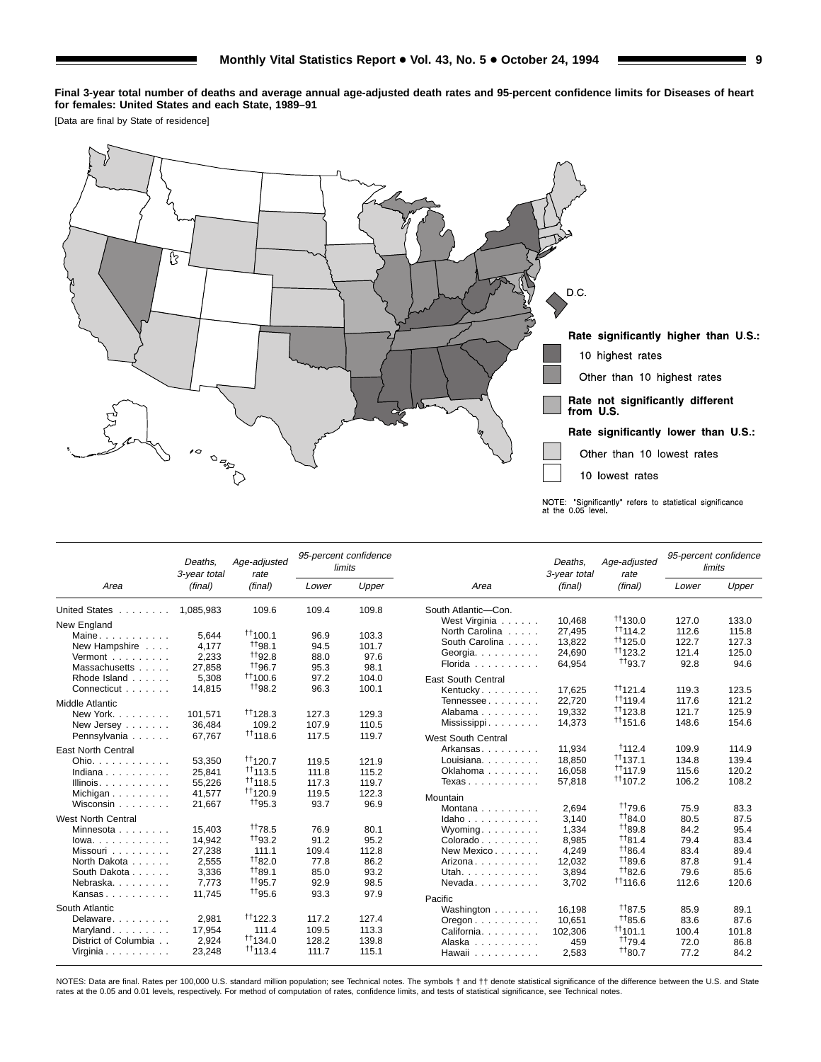**Final 3-year total number of deaths and average annual age-adjusted death rates and 95-percent confidence limits for Diseases of heart for females: United States and each State, 1989–91**

[Data are final by State of residence]



|                                | Deaths.<br>3-year total | Age-adjusted<br>rate |       | 95-percent confidence<br>limits |                                          | Deaths.<br>3-year total | Age-adjusted<br>rate      |       | 95-percent confidence<br>limits |
|--------------------------------|-------------------------|----------------------|-------|---------------------------------|------------------------------------------|-------------------------|---------------------------|-------|---------------------------------|
| Area                           | (final)                 | (final)              | Lower | Upper                           | Area                                     | (final)                 | (final)                   | Lower | Upper                           |
| United States                  | 1.085.983               | 109.6                | 109.4 | 109.8                           | South Atlantic-Con.                      |                         |                           |       |                                 |
| New England                    |                         |                      |       |                                 | West Virginia                            | 10,468                  | $+1130.0$                 | 127.0 | 133.0                           |
| Maine                          | 5.644                   | $+1100.1$            | 96.9  | 103.3                           | North Carolina                           | 27,495                  | $^{++}$ 114.2             | 112.6 | 115.8                           |
| New Hampshire                  | 4.177                   | <sup>+</sup> 198.1   | 94.5  | 101.7                           | South Carolina                           | 13,822                  | $^{\dagger\dagger}$ 125.0 | 122.7 | 127.3                           |
| Vermont                        | 2,233                   | <sup>++</sup> 92.8   | 88.0  | 97.6                            | Georgia.                                 | 24,690                  | $\uparrow$ 123.2          | 121.4 | 125.0                           |
| Massachusetts                  | 27,858                  | <sup>+</sup> 196.7   | 95.3  | 98.1                            | Florida                                  | 64,954                  | <sup>+</sup> 193.7        | 92.8  | 94.6                            |
| Rhode Island                   | 5,308                   | 11100.6              | 97.2  | 104.0                           | <b>East South Central</b>                |                         |                           |       |                                 |
| Connecticut                    | 14.815                  | <sup>+</sup> 198.2   | 96.3  | 100.1                           | Kentucky                                 | 17,625                  | $\uparrow$ 121.4          | 119.3 | 123.5                           |
| Middle Atlantic                |                         |                      |       |                                 | Tennessee                                | 22,720                  | $+1119.4$                 | 117.6 | 121.2                           |
| New York.                      | 101.571                 | $\uparrow$ 128.3     | 127.3 | 129.3                           | Alabama                                  | 19,332                  | <sup>††</sup> 123.8       | 121.7 | 125.9                           |
| New Jersey                     | 36,484                  | 109.2                | 107.9 | 110.5                           | Mississippi                              | 14,373                  | <sup>11</sup> 151.6       | 148.6 | 154.6                           |
| Pennsylvania                   | 67.767                  | <sup>††</sup> 118.6  | 117.5 | 119.7                           |                                          |                         |                           |       |                                 |
|                                |                         |                      |       |                                 | <b>West South Central</b>                |                         |                           |       |                                 |
| <b>East North Central</b>      |                         |                      |       |                                 | Arkansas                                 | 11,934                  | 1112.4                    | 109.9 | 114.9                           |
| Ohio.                          | 53.350                  | $^{++}$ 120.7        | 119.5 | 121.9                           | Louisiana.                               | 18.850                  | $^{\dagger\dagger}$ 137.1 | 134.8 | 139.4                           |
| Indiana                        | 25.841                  | $+113.5$             | 111.8 | 115.2                           | Oklahoma                                 | 16,058                  | <sup>++</sup> 117.9       | 115.6 | 120.2                           |
| Illinois. $\ldots$ .           | 55,226                  | <sup>††</sup> 118.5  | 117.3 | 119.7                           | Texas                                    | 57,818                  | 11107.2                   | 106.2 | 108.2                           |
| Michigan                       | 41.577                  | $+1120.9$            | 119.5 | 122.3                           | Mountain                                 |                         |                           |       |                                 |
| Wisconsin                      | 21,667                  | $+195.3$             | 93.7  | 96.9                            | Montana                                  | 2.694                   | <sup>++</sup> 79.6        | 75.9  | 83.3                            |
| West North Central             |                         |                      |       |                                 | Idaho                                    | 3,140                   | 1184.0                    | 80.5  | 87.5                            |
| Minnesota                      | 15,403                  | <sup>++</sup> 78.5   | 76.9  | 80.1                            | $W$ yoming                               | 1,334                   | <sup>++</sup> 89.8        | 84.2  | 95.4                            |
| $lowa. \ldots. \ldots.$        | 14,942                  | <sup>+</sup> 193.2   | 91.2  | 95.2                            | Colorado                                 | 8,985                   | 1181.4                    | 79.4  | 83.4                            |
| Missouri                       | 27,238                  | 111.1                | 109.4 | 112.8                           | New Mexico                               | 4,249                   | <sup>11</sup> 86.4        | 83.4  | 89.4                            |
| North Dakota                   | 2,555                   | $+182.0$             | 77.8  | 86.2                            | Arizona                                  | 12,032                  | <sup>++</sup> 89.6        | 87.8  | 91.4                            |
| South Dakota                   | 3,336                   | $+189.1$             | 85.0  | 93.2                            | Utah.                                    | 3,894                   | $+182.6$                  | 79.6  | 85.6                            |
| Nebraska.                      | 7.773                   | <sup>+</sup> 195.7   | 92.9  | 98.5                            | $N$ evada. $\ldots$                      | 3,702                   | $+116.6$                  | 112.6 | 120.6                           |
| Kansas                         | 11.745                  | <sup>+</sup> 195.6   | 93.3  | 97.9                            |                                          |                         |                           |       |                                 |
| South Atlantic                 |                         |                      |       |                                 | Pacific<br>Washington                    | 16.198                  | $+187.5$                  | 85.9  | 89.1                            |
| Delaware                       | 2.981                   | $\uparrow$ 122.3     | 117.2 | 127.4                           | $O$ regon $\ldots$ , $\ldots$ , $\ldots$ | 10,651                  | $+185.6$                  | 83.6  | 87.6                            |
| Maryland                       | 17,954                  | 111.4                | 109.5 | 113.3                           | California.                              | 102.306                 | $+1101.1$                 | 100.4 | 101.8                           |
| District of Columbia           | 2,924                   | $+1134.0$            | 128.2 | 139.8                           | Alaska                                   | 459                     | <sup>+1</sup> 79.4        | 72.0  | 86.8                            |
| Virginia $\ldots$ , $\ldots$ , | 23,248                  | $\uparrow$ 113.4     | 111.7 | 115.1                           | Hawaii                                   | 2,583                   | $+180.7$                  | 77.2  | 84.2                            |

NOTES: Data are final. Rates per 100,000 U.S. standard million population; see Technical notes. The symbols  $\dagger$  and  $\dagger \dagger$  denote statistical significance of the difference between the U.S. and State rates at the 0.05 and 0.01 levels, respectively. For method of computation of rates, confidence limits, and tests of statistical significance, see Technical notes.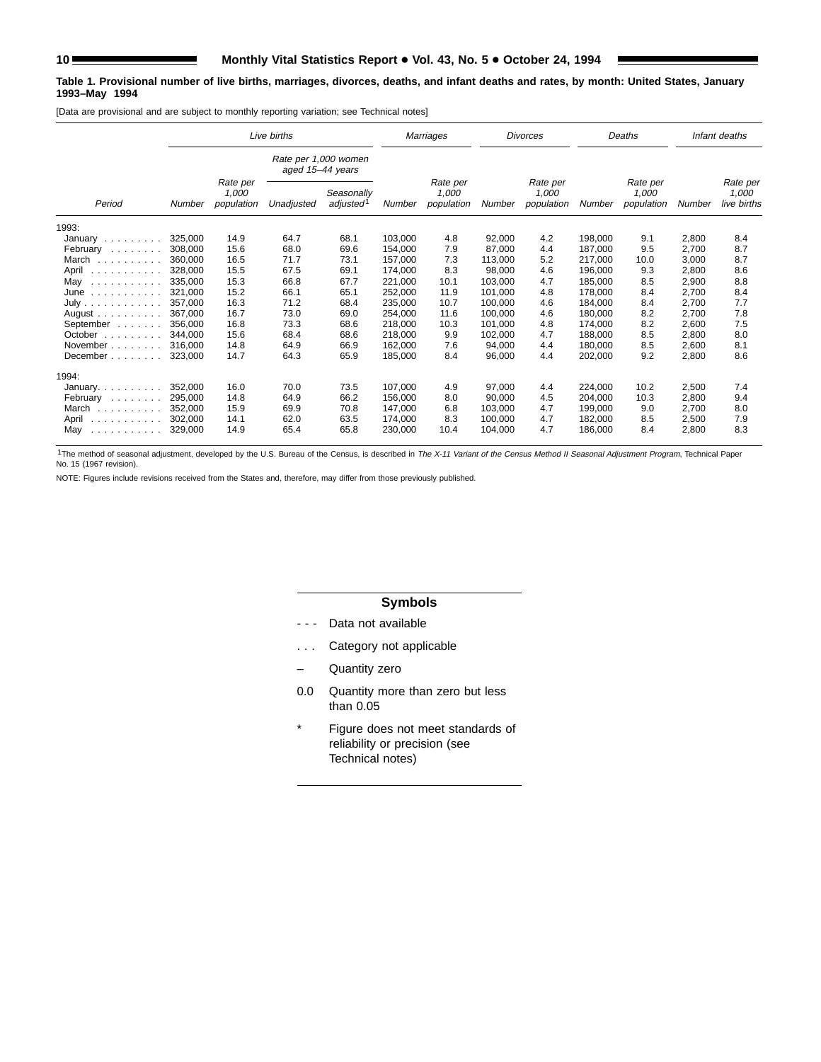#### **Table 1. Provisional number of live births, marriages, divorces, deaths, and infant deaths and rates, by month: United States, January 1993–May 1994**

[Data are provisional and are subject to monthly reporting variation; see Technical notes]

|                                                                                                      |         |                                 | Live births                              |                                     |         | Marriages                       |         | <b>Divorces</b>                 |         | Deaths                          |        | Infant deaths                    |
|------------------------------------------------------------------------------------------------------|---------|---------------------------------|------------------------------------------|-------------------------------------|---------|---------------------------------|---------|---------------------------------|---------|---------------------------------|--------|----------------------------------|
|                                                                                                      |         |                                 | Rate per 1,000 women<br>aged 15-44 years |                                     |         |                                 |         |                                 |         |                                 |        |                                  |
| Period                                                                                               | Number  | Rate per<br>1,000<br>population | Unadjusted                               | Seasonally<br>adjusted <sup>1</sup> | Number  | Rate per<br>1.000<br>population | Number  | Rate per<br>1,000<br>population | Number  | Rate per<br>1.000<br>population | Number | Rate per<br>1,000<br>live births |
| 1993:                                                                                                |         |                                 |                                          |                                     |         |                                 |         |                                 |         |                                 |        |                                  |
| January                                                                                              | 325,000 | 14.9                            | 64.7                                     | 68.1                                | 103,000 | 4.8                             | 92,000  | 4.2                             | 198.000 | 9.1                             | 2,800  | 8.4                              |
| February                                                                                             | 308,000 | 15.6                            | 68.0                                     | 69.6                                | 154,000 | 7.9                             | 87,000  | 4.4                             | 187,000 | 9.5                             | 2,700  | 8.7                              |
| March<br>and and and analysis                                                                        | 360.000 | 16.5                            | 71.7                                     | 73.1                                | 157.000 | 7.3                             | 113.000 | 5.2                             | 217.000 | 10.0                            | 3,000  | 8.7                              |
| April<br>$\alpha$ , and $\alpha$ , and $\alpha$ , and $\alpha$                                       | 328,000 | 15.5                            | 67.5                                     | 69.1                                | 174,000 | 8.3                             | 98,000  | 4.6                             | 196.000 | 9.3                             | 2,800  | 8.6                              |
| May<br>$\begin{array}{cccccccccccccc} . & . & . & . & . & . & . & . & . & . & . & . & . \end{array}$ | 335,000 | 15.3                            | 66.8                                     | 67.7                                | 221.000 | 10.1                            | 103.000 | 4.7                             | 185.000 | 8.5                             | 2,900  | 8.8                              |
| June<br>.                                                                                            | 321,000 | 15.2                            | 66.1                                     | 65.1                                | 252,000 | 11.9                            | 101,000 | 4.8                             | 178,000 | 8.4                             | 2,700  | 8.4                              |
| July                                                                                                 | 357.000 | 16.3                            | 71.2                                     | 68.4                                | 235.000 | 10.7                            | 100.000 | 4.6                             | 184.000 | 8.4                             | 2,700  | 7.7                              |
| August $\ldots$ , $\ldots$ , $\ldots$                                                                | 367.000 | 16.7                            | 73.0                                     | 69.0                                | 254,000 | 11.6                            | 100.000 | 4.6                             | 180.000 | 8.2                             | 2,700  | 7.8                              |
| September                                                                                            | 356.000 | 16.8                            | 73.3                                     | 68.6                                | 218,000 | 10.3                            | 101,000 | 4.8                             | 174.000 | 8.2                             | 2,600  | 7.5                              |
| October $\ldots$ , $\ldots$                                                                          | 344.000 | 15.6                            | 68.4                                     | 68.6                                | 218,000 | 9.9                             | 102,000 | 4.7                             | 188.000 | 8.5                             | 2,800  | 8.0                              |
| November                                                                                             | 316.000 | 14.8                            | 64.9                                     | 66.9                                | 162.000 | 7.6                             | 94,000  | 4.4                             | 180.000 | 8.5                             | 2,600  | 8.1                              |
| December                                                                                             | 323.000 | 14.7                            | 64.3                                     | 65.9                                | 185,000 | 8.4                             | 96,000  | 4.4                             | 202,000 | 9.2                             | 2,800  | 8.6                              |
| 1994:                                                                                                |         |                                 |                                          |                                     |         |                                 |         |                                 |         |                                 |        |                                  |
| January.                                                                                             | 352,000 | 16.0                            | 70.0                                     | 73.5                                | 107,000 | 4.9                             | 97,000  | 4.4                             | 224,000 | 10.2                            | 2,500  | 7.4                              |
| February                                                                                             | 295.000 | 14.8                            | 64.9                                     | 66.2                                | 156.000 | 8.0                             | 90.000  | 4.5                             | 204.000 | 10.3                            | 2,800  | 9.4                              |
| March                                                                                                | 352,000 | 15.9                            | 69.9                                     | 70.8                                | 147,000 | 6.8                             | 103,000 | 4.7                             | 199,000 | 9.0                             | 2,700  | 8.0                              |
| April                                                                                                | 302.000 | 14.1                            | 62.0                                     | 63.5                                | 174,000 | 8.3                             | 100,000 | 4.7                             | 182,000 | 8.5                             | 2,500  | 7.9                              |
| May<br>.                                                                                             | 329,000 | 14.9                            | 65.4                                     | 65.8                                | 230,000 | 10.4                            | 104,000 | 4.7                             | 186,000 | 8.4                             | 2,800  | 8.3                              |

<sup>1</sup>The method of seasonal adjustment, developed by the U.S. Bureau of the Census, is described in The X-11 Variant of the Census Method II Seasonal Adjustment Program, Technical Paper<br>No. 15 (1967 revision).

NOTE: Figures include revisions received from the States and, therefore, may differ from those previously published.

#### **Symbols**

- - Data not available
- . . . Category not applicable
- Quantity zero
- 0.0 Quantity more than zero but less than 0.05
- \* Figure does not meet standards of reliability or precision (see Technical notes)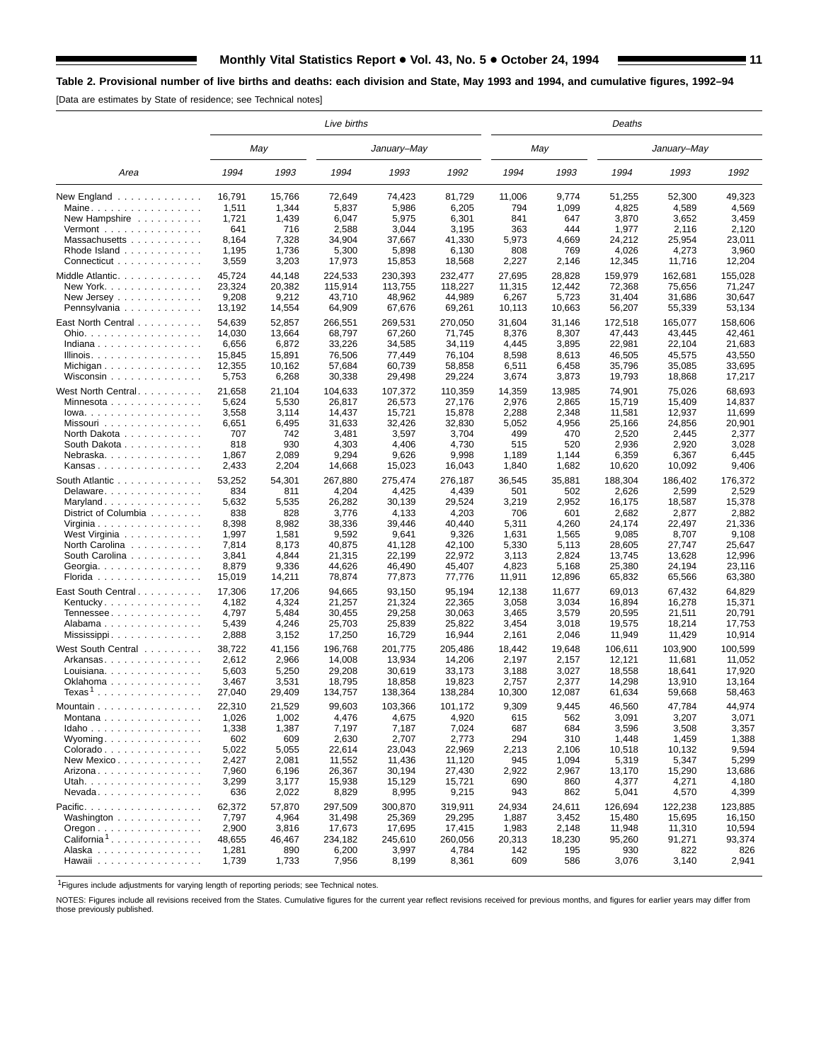[Data are estimates by State of residence; see Technical notes]

|                                                     |              |              | Live births     |                 |                 |              |              | Deaths          |                  |                 |
|-----------------------------------------------------|--------------|--------------|-----------------|-----------------|-----------------|--------------|--------------|-----------------|------------------|-----------------|
|                                                     |              | May          |                 | January–May     |                 |              | May          |                 | January–May      |                 |
| Area                                                | 1994         | 1993         | 1994            | 1993            | 1992            | 1994         | 1993         | 1994            | 1993             | 1992            |
| New England                                         | 16,791       | 15,766       | 72,649          | 74,423          | 81,729          | 11,006       | 9,774        | 51,255          | 52,300           | 49,323          |
| Maine                                               | 1,511        | 1,344        | 5,837           | 5,986           | 6,205           | 794          | 1,099        | 4,825           | 4,589            | 4,569           |
| New Hampshire                                       | 1,721        | 1,439        | 6,047           | 5,975           | 6,301           | 841          | 647          | 3,870           | 3,652            | 3,459           |
| Vermont $\ldots$ , $\ldots$ , $\ldots$ , $\ldots$   | 641          | 716          | 2,588           | 3,044           | 3,195           | 363          | 444          | 1,977           | 2,116            | 2,120           |
| Massachusetts                                       | 8,164        | 7,328        | 34,904          | 37,667          | 41,330          | 5,973        | 4,669        | 24,212          | 25,954           | 23,011          |
| Rhode Island $\ldots$ ,                             | 1,195        | 1,736        | 5,300           | 5,898           | 6,130           | 808          | 769          | 4,026           | 4,273            | 3,960           |
| Connecticut                                         | 3,559        | 3,203        | 17,973          | 15,853          | 18,568          | 2,227        | 2,146        | 12,345          | 11,716           | 12,204          |
| Middle Atlantic                                     | 45,724       | 44,148       | 224,533         | 230,393         | 232,477         | 27,695       | 28,828       | 159,979         | 162,681          | 155,028         |
| New York. $\ldots$ , $\ldots$ , $\ldots$ , $\ldots$ | 23,324       | 20,382       | 115,914         | 113,755         | 118,227         | 11,315       | 12,442       | 72,368          | 75,656           | 71,247          |
| New Jersey $\ldots$                                 | 9,208        | 9,212        | 43,710          | 48,962          | 44,989          | 6,267        | 5,723        | 31,404          | 31,686           | 30,647          |
| Pennsylvania                                        | 13,192       | 14,554       | 64,909          | 67,676          | 69,261          | 10,113       | 10,663       | 56,207          | 55,339           | 53,134          |
| East North Central                                  | 54,639       | 52,857       | 266,551         | 269,531         | 270,050         | 31,604       | 31,146       | 172,518         | 165,077          | 158,606         |
| Ohio.                                               | 14,030       | 13,664       | 68,797          | 67,260          | 71,745          | 8,376        | 8,307        | 47,443          | 43,445           | 42,461          |
| Indiana                                             | 6,656        | 6,872        | 33,226          | 34,585          | 34,119          | 4,445        | 3,895        | 22,981          | 22,104           | 21,683          |
| Illinois.                                           | 15,845       | 15,891       | 76,506          | 77,449          | 76,104          | 8,598        | 8,613        | 46,505          | 45,575           | 43,550          |
| Michigan                                            | 12,355       | 10,162       | 57,684          | 60,739          | 58,858          | 6,511        | 6,458        | 35,796          | 35,085           | 33,695          |
| Wisconsin                                           | 5,753        | 6,268        | 30,338          | 29,498          | 29,224          | 3,674        | 3,873        | 19,793          | 18,868           | 17,217          |
| West North Central                                  | 21,658       | 21,104       |                 |                 |                 |              |              | 74,901          | 75,026           | 68,693          |
|                                                     |              |              | 104,633         | 107,372         | 110,359         | 14,359       | 13,985       |                 | 15,409           |                 |
| Minnesota                                           | 5,624        | 5,530        | 26,817          | 26,573          | 27,176          | 2,976        | 2,865        | 15,719          |                  | 14,837          |
| $Iowa.$                                             | 3,558        | 3,114        | 14,437          | 15,721          | 15,878          | 2,288        | 2,348        | 11,581          | 12,937<br>24,856 | 11,699          |
| Missouri<br>North Dakota                            | 6,651<br>707 | 6,495<br>742 | 31,633<br>3,481 | 32,426<br>3,597 | 32,830<br>3,704 | 5,052<br>499 | 4,956<br>470 | 25,166<br>2,520 | 2,445            | 20,901<br>2,377 |
|                                                     | 818          | 930          |                 | 4,406           |                 | 515          | 520          |                 |                  |                 |
| South Dakota                                        | 1,867        | 2,089        | 4,303<br>9,294  | 9,626           | 4,730<br>9,998  | 1,189        | 1,144        | 2,936<br>6,359  | 2,920            | 3,028<br>6,445  |
| Nebraska<br>Kansas                                  | 2,433        | 2,204        | 14,668          | 15,023          | 16,043          | 1,840        | 1,682        | 10,620          | 6,367<br>10,092  | 9,406           |
|                                                     |              |              |                 |                 |                 |              |              |                 |                  |                 |
| South Atlantic                                      | 53,252       | 54,301       | 267,880         | 275,474         | 276,187         | 36,545       | 35,881       | 188,304         | 186,402          | 176,372         |
| Delaware                                            | 834          | 811          | 4,204           | 4,425           | 4,439           | 501          | 502          | 2,626           | 2,599            | 2,529           |
| Maryland                                            | 5,632        | 5,535        | 26,282          | 30,139          | 29,524          | 3,219        | 2,952        | 16,175          | 18,587           | 15,378          |
| District of Columbia                                | 838          | 828          | 3,776           | 4,133           | 4,203           | 706          | 601          | 2,682           | 2,877            | 2,882           |
| Virginia                                            | 8,398        | 8,982        | 38,336          | 39,446          | 40,440          | 5,311        | 4,260        | 24,174          | 22,497           | 21,336          |
| West Virginia                                       | 1,997        | 1,581        | 9,592           | 9,641           | 9,326           | 1,631        | 1,565        | 9,085           | 8,707            | 9,108           |
| North Carolina                                      | 7,814        | 8,173        | 40,875          | 41,128          | 42,100          | 5,330        | 5,113        | 28,605          | 27,747           | 25,647          |
| South Carolina                                      | 3,841        | 4,844        | 21,315          | 22,199          | 22,972          | 3,113        | 2,824        | 13,745          | 13,628           | 12,996          |
| Georgia                                             | 8,879        | 9,336        | 44,626          | 46,490          | 45,407          | 4,823        | 5,168        | 25,380          | 24,194           | 23,116          |
| Florida                                             | 15,019       | 14,211       | 78,874          | 77,873          | 77,776          | 11,911       | 12,896       | 65,832          | 65,566           | 63,380          |
| East South Central                                  | 17,306       | 17,206       | 94,665          | 93,150          | 95,194          | 12,138       | 11,677       | 69,013          | 67,432           | 64,829          |
| Kentucky                                            | 4,182        | 4,324        | 21,257          | 21,324          | 22,365          | 3,058        | 3,034        | 16,894          | 16,278           | 15,371          |
| Tennessee                                           | 4,797        | 5,484        | 30,455          | 29,258          | 30,063          | 3,465        | 3,579        | 20,595          | 21,511           | 20,791          |
| Alabama                                             | 5,439        | 4,246        | 25,703          | 25,839          | 25,822          | 3,454        | 3,018        | 19,575          | 18,214           | 17,753          |
| Mississippi                                         | 2,888        | 3,152        | 17,250          | 16,729          | 16,944          | 2,161        | 2,046        | 11,949          | 11,429           | 10,914          |
| West South Central                                  | 38,722       | 41,156       | 196,768         | 201,775         | 205,486         | 18,442       | 19,648       | 106,611         | 103,900          | 100,599         |
| Arkansas                                            | 2,612        | 2,966        | 14,008          | 13,934          | 14,206          | 2,197        | 2,157        | 12,121          | 11,681           | 11.052          |
| Louisiana                                           | 5,603        | 5,250        | 29,208          | 30,619          | 33,173          | 3,188        | 3,027        | 18,558          | 18,641           | 17,920          |
| Oklahoma                                            | 3,467        | 3,531        | 18,795          | 18,858          | 19,823          | 2,757        | 2,377        | 14,298          | 13,910           | 13,164          |
| $T$ exas $^1$                                       | 27,040       | 29,409       | 134,757         | 138,364         | 138,284         | 10,300       | 12,087       | 61,634          | 59,668           | 58,463          |
| Mountain                                            | 22,310       | 21,529       | 99,603          | 103,366         | 101,172         | 9,309        | 9,445        | 46,560          | 47,784           | 44,974          |
| Montana                                             | 1,026        | 1,002        | 4,476           | 4,675           | 4,920           | 615          | 562          | 3,091           | 3,207            | 3,071           |
| Idaho                                               | 1,338        | 1,387        | 7,197           | 7,187           | 7,024           | 687          | 684          | 3,596           | 3,508            | 3,357           |
| Wyoming                                             | 602          | 609          | 2,630           | 2,707           | 2,773           | 294          | 310          | 1,448           | 1,459            | 1,388           |
| Colorado                                            | 5,022        | 5,055        | 22,614          | 23,043          | 22,969          | 2,213        | 2,106        | 10,518          | 10,132           | 9,594           |
| New Mexico                                          | 2,427        | 2,081        | 11,552          | 11,436          | 11,120          | 945          | 1,094        | 5,319           | 5,347            | 5,299           |
| Arizona                                             | 7,960        | 6,196        | 26,367          | 30,194          | 27,430          | 2,922        | 2,967        | 13,170          | 15,290           | 13,686          |
| Utah.                                               | 3,299        | 3,177        | 15,938          | 15,129          | 15,721          | 690          | 860          | 4,377           | 4,271            | 4,180           |
| $N$ evada                                           | 636          | 2,022        | 8,829           | 8,995           | 9,215           | 943          | 862          | 5,041           | 4,570            | 4,399           |
| Pacific.                                            | 62,372       | 57,870       | 297,509         | 300,870         | 319,911         | 24,934       | 24,611       | 126,694         | 122,238          | 123,885         |
| Washington                                          | 7,797        | 4,964        | 31,498          | 25,369          | 29,295          | 1,887        | 3,452        | 15,480          | 15,695           | 16,150          |
| $O$ regon $\ldots \ldots \ldots \ldots$             | 2,900        | 3,816        | 17,673          | 17,695          | 17,415          | 1,983        | 2,148        | 11,948          | 11,310           | 10,594          |
| California <sup>1</sup>                             | 48,655       | 46,467       | 234,182         | 245,610         | 260,056         | 20,313       | 18,230       | 95,260          | 91,271           | 93,374          |
| Alaska                                              | 1,281        | 890          | 6,200           | 3,997           | 4,784           | 142          | 195          | 930             | 822              | 826             |
| Hawaii                                              | 1,739        | 1,733        | 7,956           | 8,199           | 8,361           | 609          | 586          | 3,076           | 3,140            | 2,941           |
|                                                     |              |              |                 |                 |                 |              |              |                 |                  |                 |

1Figures include adjustments for varying length of reporting periods; see Technical notes.

NOTES: Figures include all revisions received from the States. Cumulative figures for the current year reflect revisions received for previous months, and figures for earlier years may differ from those previously published.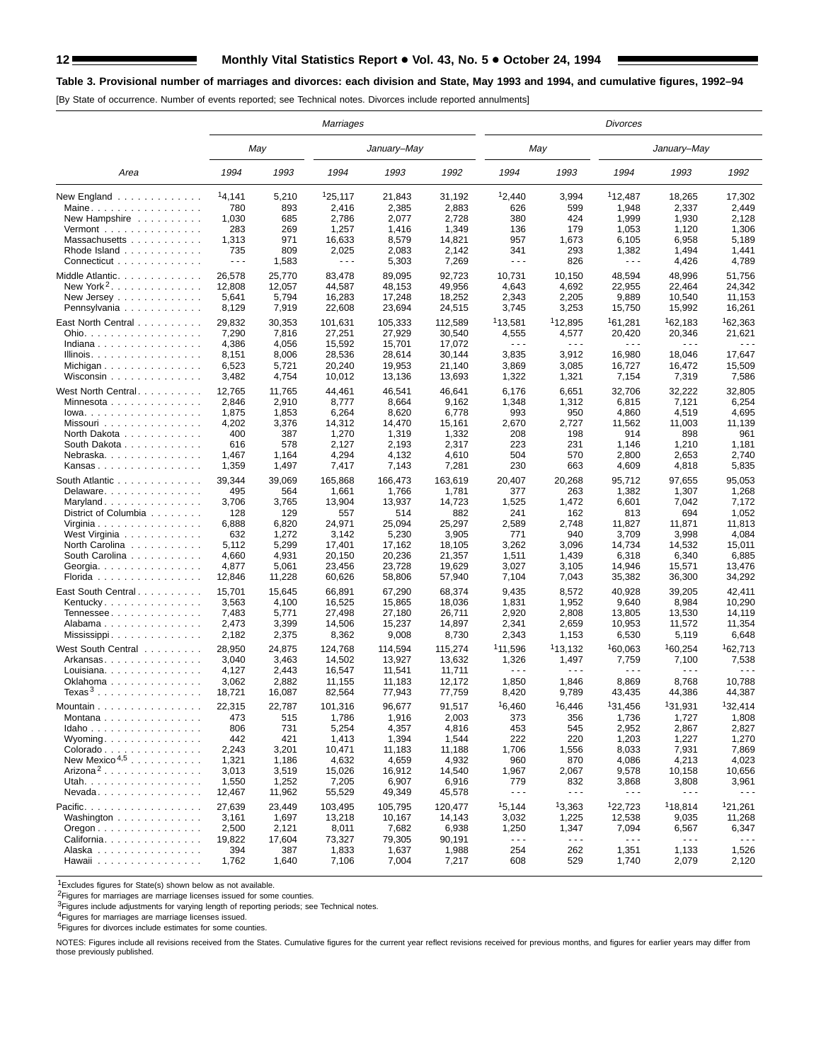#### 12 Monthly Vital Statistics Report . 43, No. 5 . October 24, 1994

#### **Table 3. Provisional number of marriages and divorces: each division and State, May 1993 and 1994, and cumulative figures, 1992–94**

[By State of occurrence. Number of events reported; see Technical notes. Divorces include reported annulments]

|                                                                                           |                                             |                                             | Marriages                                       |                                                 |                                                 |                                                |                                         | <b>Divorces</b>                     |                                              |                                      |
|-------------------------------------------------------------------------------------------|---------------------------------------------|---------------------------------------------|-------------------------------------------------|-------------------------------------------------|-------------------------------------------------|------------------------------------------------|-----------------------------------------|-------------------------------------|----------------------------------------------|--------------------------------------|
|                                                                                           |                                             | May                                         |                                                 | January–May                                     |                                                 | May                                            |                                         |                                     | January–May                                  |                                      |
| Area                                                                                      | 1994                                        | 1993                                        | 1994                                            | 1993                                            | 1992                                            | 1994                                           | 1993                                    | 1994                                | 1993                                         | 1992                                 |
| New England $\ldots$                                                                      | 14,141                                      | 5,210                                       | 125,117                                         | 21,843                                          | 31,192                                          | 12,440                                         | 3,994                                   | 112.487                             | 18,265                                       | 17,302                               |
| Maine                                                                                     | 780                                         | 893                                         | 2,416                                           | 2,385                                           | 2,883                                           | 626                                            | 599                                     | 1,948                               | 2,337                                        | 2,449                                |
| New Hampshire                                                                             | 1,030                                       | 685                                         | 2,786                                           | 2,077                                           | 2,728                                           | 380                                            | 424                                     | 1,999                               | 1,930                                        | 2,128                                |
| Vermont $\dots\dots\dots\dots\dots\dots$                                                  | 283                                         | 269                                         | 1,257                                           | 1,416                                           | 1,349                                           | 136                                            | 179                                     | 1,053                               | 1,120                                        | 1,306                                |
| Massachusetts                                                                             | 1,313                                       | 971                                         | 16,633                                          | 8,579                                           | 14,821                                          | 957                                            | 1,673                                   | 6,105                               | 6,958                                        | 5,189                                |
| Rhode Island                                                                              | 735                                         | 809                                         | 2,025                                           | 2,083                                           | 2,142                                           | 341                                            | 293                                     | 1,382                               | 1,494                                        | 1,441                                |
| Connecticut                                                                               | $\sim$ $\sim$ $\sim$                        | 1,583                                       | $\sim$ $\sim$ $\sim$                            | 5,303                                           | 7,269                                           | $\sim$ $\sim$ $\sim$                           | 826                                     | $\sim$ $\sim$ $\sim$                | 4,426                                        | 4,789                                |
| Middle Atlantic.                                                                          | 26,578                                      | 25,770                                      | 83,478                                          | 89,095                                          | 92,723                                          | 10,731                                         | 10,150                                  | 48,594                              | 48,996                                       | 51,756                               |
| New York <sup>2</sup>                                                                     | 12,808                                      | 12,057                                      | 44,587                                          | 48,153                                          | 49,956                                          | 4,643                                          | 4,692                                   | 22,955                              | 22,464                                       | 24,342                               |
| New Jersey $\dots$ , $\dots$ , $\dots$                                                    | 5,641                                       | 5,794                                       | 16,283                                          | 17,248                                          | 18,252                                          | 2,343                                          | 2,205                                   | 9,889                               | 10,540                                       | 11,153                               |
| Pennsylvania                                                                              | 8,129                                       | 7,919                                       | 22,608                                          | 23,694                                          | 24,515                                          | 3,745                                          | 3,253                                   | 15,750                              | 15,992                                       | 16,261                               |
| East North Central                                                                        | 29,832                                      | 30,353                                      | 101,631                                         | 105,333                                         | 112,589                                         | <sup>1</sup> 13,581                            | <sup>1</sup> 12,895                     | <sup>1</sup> 61,281                 | <sup>1</sup> 62,183                          | 162,363                              |
| Ohio.                                                                                     | 7,290                                       | 7,816                                       | 27,251                                          | 27,929                                          | 30,540                                          | 4,555                                          | 4,577                                   | 20,420                              | 20,346                                       | 21,621                               |
| Indiana                                                                                   | 4,386                                       | 4,056                                       | 15,592                                          | 15,701                                          | 17,072                                          | $ -$                                           | .                                       | .                                   | .                                            | $\sim$ $\sim$ $\sim$                 |
| Illinois.                                                                                 | 8,151                                       | 8,006                                       | 28,536                                          | 28,614                                          | 30,144                                          | 3,835                                          | 3,912                                   | 16,980                              | 18,046                                       | 17,647                               |
| Michigan                                                                                  | 6,523                                       | 5,721                                       | 20,240                                          | 19,953                                          | 21,140                                          | 3,869                                          | 3,085                                   | 16,727                              | 16,472                                       | 15,509                               |
| Wisconsin                                                                                 | 3,482                                       | 4,754                                       | 10,012                                          | 13,136                                          | 13,693                                          | 1,322                                          | 1,321                                   | 7,154                               | 7,319                                        | 7,586                                |
| West North Central.                                                                       | 12,765                                      | 11,765                                      | 44,461                                          | 46,541                                          | 46,641                                          | 6,176                                          | 6,651                                   | 32,706                              | 32,222                                       | 32,805                               |
| Minnesota                                                                                 | 2,846                                       | 2,910                                       | 8,777                                           | 8,664                                           | 9,162                                           | 1,348                                          | 1,312                                   | 6,815                               | 7,121                                        | 6,254                                |
| $lowa. \ldots \ldots \ldots \ldots$                                                       | 1,875                                       | 1,853                                       | 6,264                                           | 8,620                                           | 6,778                                           | 993                                            | 950                                     | 4,860                               | 4,519                                        | 4,695                                |
| Missouri                                                                                  | 4,202                                       | 3,376                                       | 14,312                                          | 14,470                                          | 15,161                                          | 2,670                                          | 2,727                                   | 11,562                              | 11,003                                       | 11,139                               |
| North Dakota                                                                              | 400                                         | 387                                         | 1,270                                           | 1,319                                           | 1,332                                           | 208                                            | 198                                     | 914                                 | 898                                          | 961                                  |
| South Dakota                                                                              | 616                                         | 578                                         | 2,127                                           | 2,193                                           | 2,317                                           | 223                                            | 231                                     | 1,146                               | 1,210                                        | 1,181                                |
| Nebraska.                                                                                 | 1,467                                       | 1,164                                       | 4,294                                           | 4,132                                           | 4,610                                           | 504                                            | 570                                     | 2,800                               | 2,653                                        | 2,740                                |
| Kansas                                                                                    | 1,359                                       | 1,497                                       | 7,417                                           | 7,143                                           | 7,281                                           | 230                                            | 663                                     | 4,609                               | 4,818                                        | 5,835                                |
| South Atlantic                                                                            | 39,344                                      | 39,069                                      | 165,868                                         | 166,473                                         | 163,619                                         | 20,407                                         | 20,268                                  | 95,712                              | 97,655                                       | 95,053                               |
| Delaware.                                                                                 | 495                                         | 564                                         | 1,661                                           | 1,766                                           | 1,781                                           | 377                                            | 263                                     | 1,382                               | 1,307                                        | 1,268                                |
| Maryland                                                                                  | 3,706                                       | 3,765                                       | 13,904                                          | 13,937                                          | 14,723                                          | 1,525                                          | 1,472                                   | 6,601                               | 7,042                                        | 7,172                                |
| District of Columbia                                                                      | 128                                         | 129                                         | 557                                             | 514                                             | 882                                             | 241                                            | 162                                     | 813                                 | 694                                          | 1,052                                |
| Virginia                                                                                  | 6,888                                       | 6,820                                       | 24,971                                          | 25,094                                          | 25,297                                          | 2,589                                          | 2,748                                   | 11,827                              | 11,871                                       | 11,813                               |
| West Virginia                                                                             | 632                                         | 1,272                                       | 3,142                                           | 5,230                                           | 3,905                                           | 771                                            | 940                                     | 3,709                               | 3,998                                        | 4,084                                |
| North Carolina                                                                            | 5,112                                       | 5,299                                       | 17,401                                          | 17,162                                          | 18,105                                          | 3,262                                          | 3,096                                   | 14,734                              | 14,532                                       | 15,011                               |
| South Carolina                                                                            | 4,660                                       | 4,931                                       | 20,150                                          | 20,236                                          | 21,357                                          | 1,511                                          | 1,439                                   | 6,318                               | 6,340                                        | 6,885                                |
| Georgia.                                                                                  | 4,877                                       | 5,061                                       | 23,456                                          | 23,728                                          | 19,629                                          | 3,027                                          | 3,105                                   | 14,946                              | 15,571                                       | 13,476                               |
| Florida                                                                                   | 12,846                                      | 11,228                                      | 60,626                                          | 58,806                                          | 57,940                                          | 7,104                                          | 7,043                                   | 35,382                              | 36,300                                       | 34,292                               |
| East South Central.                                                                       | 15,701                                      | 15,645                                      | 66,891                                          | 67,290                                          | 68,374                                          | 9,435                                          | 8,572                                   | 40,928                              | 39,205                                       | 42,411                               |
| Kentucky                                                                                  | 3,563                                       | 4,100                                       | 16,525                                          | 15,865                                          | 18,036                                          | 1,831                                          | 1,952                                   | 9,640                               | 8,984                                        | 10,290                               |
| Tennessee                                                                                 | 7,483                                       | 5,771                                       | 27,498                                          | 27,180                                          | 26,711                                          | 2,920                                          | 2,808                                   | 13,805                              | 13,530                                       | 14,119                               |
| Alabama                                                                                   | 2,473                                       | 3,399                                       | 14,506                                          | 15,237                                          | 14,897                                          | 2,341                                          | 2,659                                   | 10,953                              | 11,572                                       | 11,354                               |
| Mississippi                                                                               | 2,182                                       | 2,375                                       | 8,362                                           | 9,008                                           | 8,730                                           | 2,343                                          | 1,153                                   | 6,530                               | 5,119                                        | 6,648                                |
| West South Central<br>Arkansas<br>Louisiana. $\ldots$ .<br>Oklahoma<br>Texas <sup>3</sup> | 28,950<br>3,040<br>4,127<br>3,062<br>18,721 | 24,875<br>3,463<br>2,443<br>2,882<br>16,087 | 124.768<br>14,502<br>16,547<br>11,155<br>82,564 | 114,594<br>13,927<br>11,541<br>11,183<br>77,943 | 115,274<br>13.632<br>11,711<br>12,172<br>77,759 | <sup>1</sup> 11,596<br>1,326<br>1,850<br>8,420 | 113,132<br>1,497<br>.<br>1,846<br>9,789 | 160,063<br>7,759<br>8,869<br>43,435 | 160,254<br>7,100<br>- - -<br>8,768<br>44,386 | 162,713<br>7,538<br>10,788<br>44,387 |
| Mountain                                                                                  | 22,315                                      | 22.787                                      | 101,316                                         | 96,677                                          | 91,517                                          | <sup>1</sup> 6.460                             | 16.446                                  | <sup>1</sup> 31.456                 | 131.931                                      | <sup>1</sup> 32.414                  |
| Montana                                                                                   | 473                                         | 515                                         | 1,786                                           | 1,916                                           | 2,003                                           | 373                                            | 356                                     | 1,736                               | 1,727                                        | 1,808                                |
| $Idaho \ldots \ldots \ldots \ldots$                                                       | 806                                         | 731                                         | 5,254                                           | 4,357                                           | 4,816                                           | 453                                            | 545                                     | 2,952                               | 2,867                                        | 2,827                                |
| Wyoming                                                                                   | 442                                         | 421                                         | 1,413                                           | 1,394                                           | 1,544                                           | 222                                            | 220                                     | 1,203                               | 1,227                                        | 1,270                                |
| Colorado                                                                                  | 2,243                                       | 3,201                                       | 10,471                                          | 11,183                                          | 11,188                                          | 1,706                                          | 1,556                                   | 8,033                               | 7,931                                        | 7,869                                |
| New Mexico <sup>4,5</sup>                                                                 | 1,321                                       | 1,186                                       | 4,632                                           | 4,659                                           | 4,932                                           | 960                                            | 870                                     | 4,086                               | 4,213                                        | 4,023                                |
| Arizona <sup>2</sup>                                                                      | 3,013                                       | 3,519                                       | 15,026                                          | 16,912                                          | 14,540                                          | 1,967                                          | 2,067                                   | 9,578                               | 10,158                                       | 10,656                               |
| Utah.                                                                                     | 1,550                                       | 1,252                                       | 7,205                                           | 6,907                                           | 6,916                                           | 779                                            | 832                                     | 3,868                               | 3,808                                        | 3,961                                |
| $Nevada \ldots \ldots \ldots$                                                             | 12,467                                      | 11,962                                      | 55,529                                          | 49,349                                          | 45,578                                          | $\sim$ $\sim$ $\sim$                           | $\ddotsc$                               | .                                   | .                                            | $\sim$ $\sim$ $\sim$                 |
| Pacific.                                                                                  | 27,639                                      | 23,449                                      | 103,495                                         | 105,795                                         | 120,477                                         | 15,144                                         | 13,363                                  | 122,723                             | <sup>1</sup> 18,814                          | <sup>1</sup> 21,261                  |
| Washington                                                                                | 3,161                                       | 1,697                                       | 13,218                                          | 10,167                                          | 14,143                                          | 3,032                                          | 1,225                                   | 12,538                              | 9,035                                        | 11,268                               |
| $O$ regon $\ldots \ldots \ldots \ldots$                                                   | 2,500                                       | 2,121                                       | 8,011                                           | 7,682                                           | 6,938                                           | 1,250                                          | 1,347                                   | 7,094                               | 6,567                                        | 6,347                                |
| California                                                                                | 19,822                                      | 17,604                                      | 73,327                                          | 79,305                                          | 90,191                                          | $\sim$ $\sim$ $\sim$                           | - - -                                   | - - -                               | - - -                                        | $\sim$ $\sim$ $\sim$                 |
| Alaska                                                                                    | 394                                         | 387                                         | 1,833                                           | 1,637                                           | 1,988                                           | 254                                            | 262                                     | 1,351                               | 1,133                                        | 1,526                                |
| Hawaii                                                                                    | 1,762                                       | 1,640                                       | 7,106                                           | 7,004                                           | 7,217                                           | 608                                            | 529                                     | 1,740                               | 2,079                                        | 2,120                                |

1Excludes figures for State(s) shown below as not available.

2Figures for marriages are marriage licenses issued for some counties.

<sup>3</sup>Figures include adjustments for varying length of reporting periods; see Technical notes.

4Figures for marriages are marriage licenses issued.

5Figures for divorces include estimates for some counties.

NOTES: Figures include all revisions received from the States. Cumulative figures for the current year reflect revisions received for previous months, and figures for earlier years may differ from those previously published.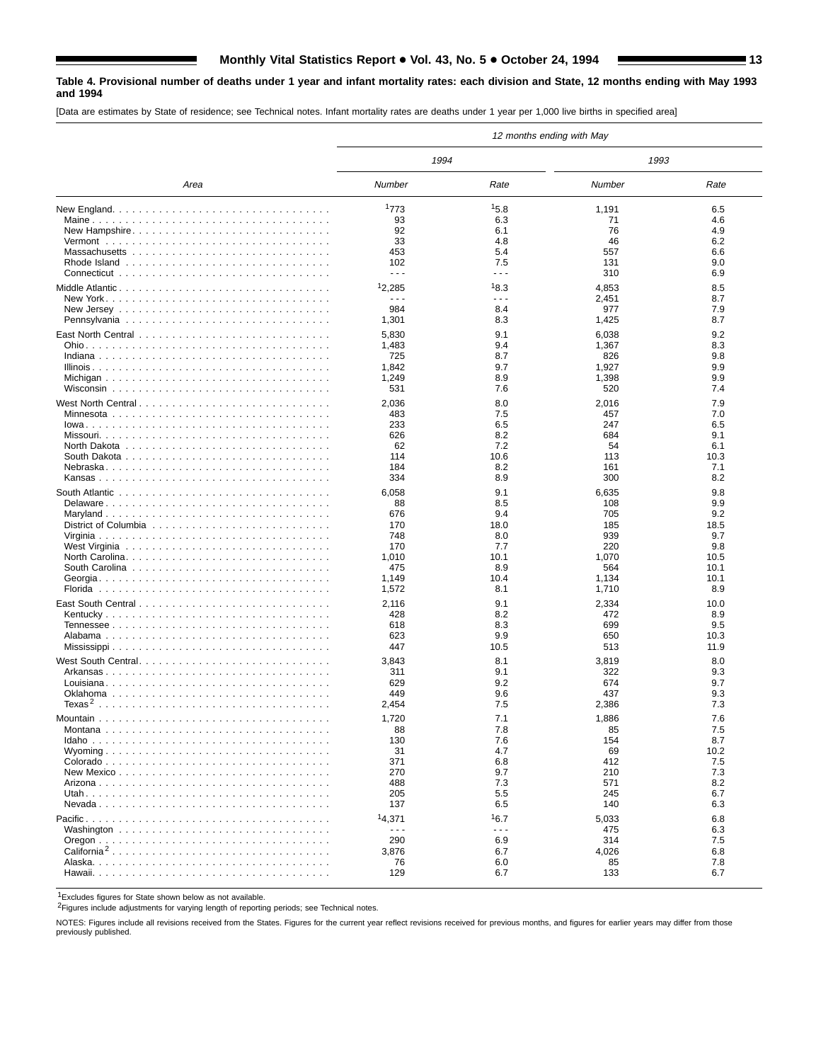#### **Table 4. Provisional number of deaths under 1 year and infant mortality rates: each division and State, 12 months ending with May 1993 and 1994**

[Data are estimates by State of residence; see Technical notes. Infant mortality rates are deaths under 1 year per 1,000 live births in specified area]

|                                                                                    | 12 months ending with May   |                             |              |              |
|------------------------------------------------------------------------------------|-----------------------------|-----------------------------|--------------|--------------|
|                                                                                    | 1994                        |                             | 1993         |              |
| Area                                                                               | Number                      | Rate                        | Number       | Rate         |
|                                                                                    | 1773                        | 15.8                        | 1,191        | 6.5          |
|                                                                                    | 93                          | 6.3                         | 71           | 4.6          |
| New Hampshire                                                                      | 92                          | 6.1                         | 76           | 4.9          |
|                                                                                    | 33                          | 4.8                         | 46           | 6.2          |
|                                                                                    | 453                         | 5.4                         | 557          | 6.6<br>9.0   |
|                                                                                    | 102<br>$\sim$ $\sim$ $\sim$ | 7.5<br>$\sim$ $\sim$ $\sim$ | 131<br>310   | 6.9          |
|                                                                                    |                             |                             |              |              |
|                                                                                    | 12,285                      | 18.3                        | 4,853        | 8.5          |
| New Jersey $\ldots \ldots \ldots \ldots \ldots \ldots \ldots \ldots \ldots \ldots$ | $- - -$<br>984              | $- - -$<br>8.4              | 2,451        | 8.7<br>7.9   |
|                                                                                    | 1,301                       | 8.3                         | 977<br>1,425 | 8.7          |
|                                                                                    |                             |                             |              |              |
|                                                                                    | 5,830                       | 9.1                         | 6,038        | 9.2          |
|                                                                                    | 1,483<br>725                | 9.4<br>8.7                  | 1,367<br>826 | 8.3<br>9.8   |
|                                                                                    | 1,842                       | 9.7                         | 1,927        | 9.9          |
|                                                                                    | 1,249                       | 8.9                         | 1,398        | 9.9          |
|                                                                                    | 531                         | 7.6                         | 520          | 7.4          |
|                                                                                    | 2,036                       | 8.0                         | 2,016        | 7.9          |
|                                                                                    | 483                         | 7.5                         | 457          | 7.0          |
|                                                                                    | 233                         | 6.5                         | 247          | 6.5          |
|                                                                                    | 626                         | 8.2                         | 684          | 9.1          |
|                                                                                    | 62                          | 7.2                         | 54           | 6.1          |
|                                                                                    | 114                         | 10.6                        | 113          | 10.3         |
|                                                                                    | 184                         | 8.2                         | 161          | 7.1          |
|                                                                                    | 334                         | 8.9                         | 300          | 8.2          |
|                                                                                    | 6,058                       | 9.1                         | 6,635        | 9.8          |
|                                                                                    | 88                          | 8.5                         | 108          | 9.9          |
|                                                                                    | 676                         | 9.4                         | 705          | 9.2          |
|                                                                                    | 170                         | 18.0                        | 185          | 18.5         |
|                                                                                    | 748                         | 8.0                         | 939          | 9.7          |
|                                                                                    | 170                         | 7.7                         | 220          | 9.8          |
|                                                                                    | 1,010                       | 10.1                        | 1,070        | 10.5         |
|                                                                                    | 475                         | 8.9                         | 564          | 10.1         |
|                                                                                    | 1,149                       | 10.4                        | 1,134        | 10.1         |
|                                                                                    | 1,572                       | 8.1                         | 1,710        | 8.9          |
|                                                                                    | 2,116                       | 9.1                         | 2,334        | 10.0         |
|                                                                                    | 428                         | 8.2                         | 472          | 8.9          |
|                                                                                    | 618                         | 8.3                         | 699          | 9.5          |
|                                                                                    | 623<br>447                  | 9.9<br>10.5                 | 650<br>513   | 10.3<br>11.9 |
|                                                                                    |                             |                             |              |              |
|                                                                                    | 3,843                       | 8.1                         | 3,819        | 8.0          |
|                                                                                    | 311<br>629                  | 9.1<br>9.2                  | 322          | 9.3<br>9.7   |
|                                                                                    | 449                         | 9.6                         | 674<br>437   | 9.3          |
|                                                                                    | 2,454                       | 7.5                         | 2,386        | 7.3          |
|                                                                                    |                             |                             |              |              |
|                                                                                    | 1,720                       | 7.1<br>7.8                  | 1,886        | 7.6<br>7.5   |
|                                                                                    | 88<br>130                   | 7.6                         | 85<br>154    | 8.7          |
| Wyoming                                                                            | 31                          | 4.7                         | 69           | 10.2         |
|                                                                                    | 371                         | 6.8                         | 412          | 7.5          |
|                                                                                    | 270                         | 9.7                         | 210          | 7.3          |
|                                                                                    | 488                         | 7.3                         | 571          | 8.2          |
|                                                                                    | 205                         | 5.5                         | 245          | 6.7          |
|                                                                                    | 137                         | 6.5                         | 140          | 6.3          |
|                                                                                    | 14,371                      | 16.7                        | 5,033        | 6.8          |
|                                                                                    | $\sim$ $\sim$ $\sim$        | $- - -$                     | 475          | 6.3          |
|                                                                                    | 290                         | 6.9                         | 314          | 7.5          |
| California <sup>2</sup>                                                            | 3,876                       | 6.7                         | 4,026        | 6.8          |
|                                                                                    | 76                          | 6.0                         | 85           | 7.8          |
|                                                                                    | 129                         | 6.7                         | 133          | 6.7          |

1Excludes figures for State shown below as not available.

2Figures include adjustments for varying length of reporting periods; see Technical notes.

NOTES: Figures include all revisions received from the States. Figures for the current year reflect revisions received for previous months, and figures for earlier years may differ from those previously published.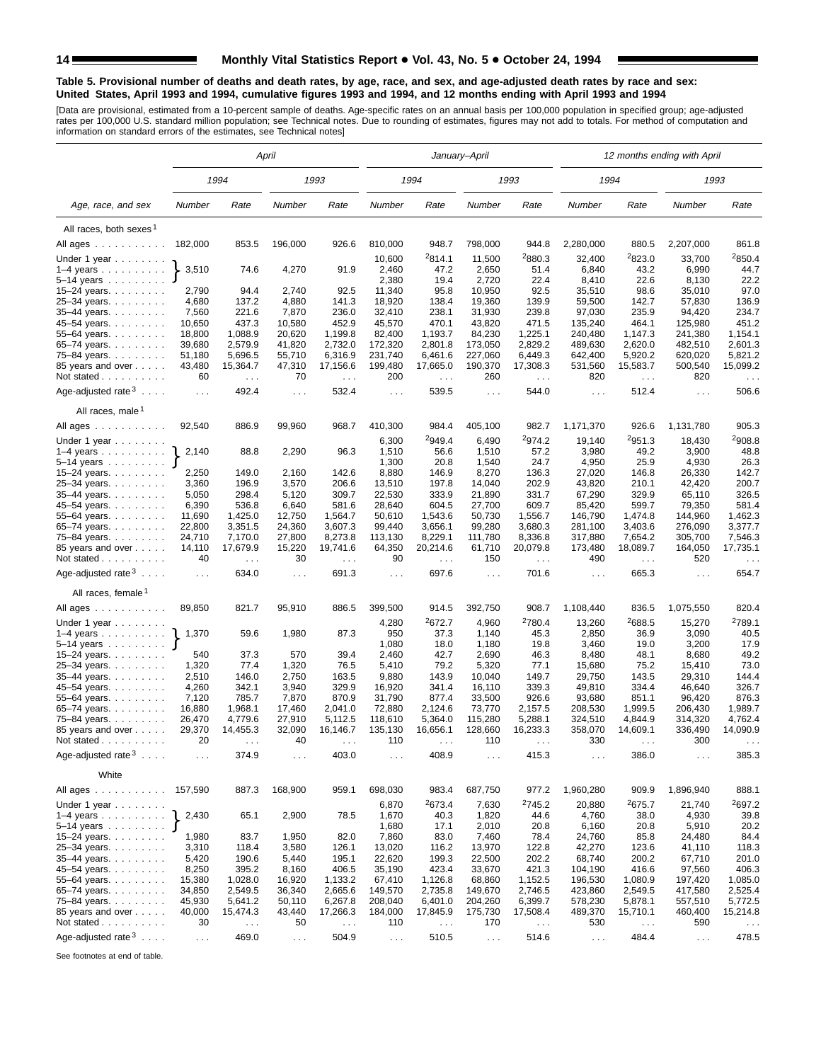#### **Table 5. Provisional number of deaths and death rates, by age, race, and sex, and age-adjusted death rates by race and sex: United States, April 1993 and 1994, cumulative figures 1993 and 1994, and 12 months ending with April 1993 and 1994**

[Data are provisional, estimated from a 10-percent sample of deaths. Age-specific rates on an annual basis per 100,000 population in specified group; age-adjusted<br>rates per 100,000 U.S. standard million population; see Tec

|                                                       |                 |                  | April           |                      |                      |                             | January-April        |                             |                     |                      | 12 months ending with April |                                 |
|-------------------------------------------------------|-----------------|------------------|-----------------|----------------------|----------------------|-----------------------------|----------------------|-----------------------------|---------------------|----------------------|-----------------------------|---------------------------------|
|                                                       |                 | 1994             |                 | 1993                 |                      | 1994                        |                      | 1993                        | 1994                |                      | 1993                        |                                 |
| Age, race, and sex                                    | Number          | Rate             | Number          | Rate                 | Number               | Rate                        | Number               | Rate                        | Number              | Rate                 | Number                      | Rate                            |
| All races, both sexes <sup>1</sup>                    |                 |                  |                 |                      |                      |                             |                      |                             |                     |                      |                             |                                 |
| All ages                                              | 182,000         | 853.5            | 196,000         | 926.6                | 810,000              | 948.7                       | 798,000              | 944.8                       | 2,280,000           | 880.5                | 2,207,000                   | 861.8                           |
|                                                       |                 |                  |                 |                      |                      | 2814.1                      | 11,500               | <sup>2</sup> 880.3          |                     | 2823.0               |                             | 2850.4                          |
| Under 1 year<br>$1-4$ years $\ldots$                  | 3,510           | 74.6             | 4,270           | 91.9                 | 10,600<br>2,460      | 47.2                        | 2,650                | 51.4                        | 32,400<br>6,840     | 43.2                 | 33,700<br>6,990             | 44.7                            |
| $5 - 14$ years $\ldots$                               |                 |                  |                 |                      | 2,380                | 19.4                        | 2,720                | 22.4                        | 8,410               | 22.6                 | 8,130                       | 22.2                            |
| 15-24 years.                                          | 2,790           | 94.4             | 2,740           | 92.5                 | 11,340               | 95.8                        | 10,950               | 92.5                        | 35,510              | 98.6                 | 35,010                      | 97.0                            |
| 25-34 years.                                          | 4,680           | 137.2            | 4,880           | 141.3                | 18,920               | 138.4                       | 19,360               | 139.9                       | 59,500              | 142.7                | 57,830                      | 136.9                           |
| 35-44 years.                                          | 7,560           | 221.6            | 7,870           | 236.0                | 32,410               | 238.1                       | 31,930               | 239.8                       | 97,030              | 235.9                | 94,420                      | 234.7                           |
| 45-54 years.                                          | 10,650          | 437.3            | 10,580          | 452.9                | 45,570               | 470.1                       | 43,820               | 471.5                       | 135,240             | 464.1                | 125,980                     | 451.2                           |
| 55-64 years.                                          | 18,800          | 1,088.9          | 20,620          | 1,199.8              | 82,400               | 1,193.7                     | 84,230               | 1,225.1                     | 240,480             | 1,147.3              | 241,380                     | 1,154.1                         |
| 65-74 years.                                          | 39,680          | 2,579.9          | 41,820          | 2,732.0              | 172,320              | 2,801.8                     | 173,050              | 2,829.2                     | 489,630             | 2,620.0              | 482,510                     | 2,601.3                         |
| 75-84 years.                                          | 51,180          | 5,696.5          | 55,710          | 6,316.9              | 231,740              | 6,461.6                     | 227,060              | 6,449.3                     | 642,400             | 5,920.2              | 620,020                     | 5,821.2                         |
| 85 years and over                                     | 43,480          | 15,364.7         | 47,310          | 17,156.6             | 199,480              | 17,665.0                    | 190,370              | 17,308.3                    | 531,560             | 15,583.7             | 500,540                     | 15,099.2                        |
| Not stated $\ldots$                                   | 60              | $\sim 10$        | 70              | $\sim$ .             | 200                  | $\ldots$                    | 260                  | $\ldots$                    | 820                 | $\sim 100$           | 820                         | $\sim$ $\sim$                   |
| Age-adjusted rate $3 \ldots$ .                        | $\sim 100$      | 492.4            | $\cdots$        | 532.4                | $\sim 100$           | 539.5                       | $\sim$ $\sim$ $\sim$ | 544.0                       | $\sim 100$          | 512.4                | $\sim 100$                  | 506.6                           |
| All races, male <sup>1</sup>                          |                 |                  |                 |                      |                      |                             |                      |                             |                     |                      |                             |                                 |
| All ages                                              | 92,540          | 886.9            | 99,960          | 968.7                | 410,300              | 984.4                       | 405,100              | 982.7                       | 1,171,370           | 926.6                | 1,131,780                   | 905.3                           |
| Under 1 year                                          |                 |                  |                 |                      | 6,300                | 2949.4                      | 6,490                | 2974.2                      | 19,140              | 2951.3               | 18,430                      | 2908.8                          |
| $1-4$ years                                           | 2,140           | 88.8             | 2,290           | 96.3                 | 1,510                | 56.6                        | 1,510                | 57.2                        | 3,980               | 49.2                 | 3,900                       | 48.8                            |
| $5-14$ years $\ldots \ldots$                          |                 |                  |                 |                      | 1,300                | 20.8                        | 1,540                | 24.7                        | 4,950               | 25.9                 | 4,930                       | 26.3                            |
| 15–24 years. $\ldots$                                 | 2,250           | 149.0            | 2,160           | 142.6                | 8,880                | 146.9                       | 8,270                | 136.3                       | 27,020              | 146.8                | 26,330                      | 142.7                           |
| 25-34 years.                                          | 3,360           | 196.9            | 3,570           | 206.6                | 13,510               | 197.8                       | 14,040               | 202.9                       | 43,820              | 210.1                | 42.420                      | 200.7                           |
| 35-44 years.                                          | 5,050           | 298.4            | 5,120           | 309.7                | 22,530               | 333.9                       | 21,890               | 331.7                       | 67,290              | 329.9                | 65,110                      | 326.5                           |
| 45–54 years.                                          | 6,390<br>11,690 | 536.8<br>1,425.0 | 6,640<br>12,750 | 581.6<br>1,564.7     | 28,640<br>50,610     | 604.5<br>1,543.6            | 27,700<br>50,730     | 609.7<br>1,556.7            | 85,420<br>146,790   | 599.7<br>1,474.8     | 79,350<br>144,960           | 581.4<br>1,462.3                |
| 55-64 years.<br>65-74 years.                          | 22,800          | 3,351.5          | 24,360          | 3,607.3              | 99,440               | 3.656.1                     | 99,280               | 3,680.3                     | 281.100             | 3,403.6              | 276,090                     | 3,377.7                         |
| 75-84 years.                                          | 24,710          | 7,170.0          | 27,800          | 8,273.8              | 113,130              | 8,229.1                     | 111,780              | 8,336.8                     | 317,880             | 7,654.2              | 305,700                     | 7,546.3                         |
| 85 years and over                                     | 14,110          | 17,679.9         | 15,220          | 19,741.6             | 64,350               | 20,214.6                    | 61,710               | 20,079.8                    | 173,480             | 18,089.7             | 164,050                     | 17,735.1                        |
| Not stated                                            | 40              | $\sim$ .         | 30              | $\sim$ $\sim$ $\sim$ | 90                   | $\sim$ .                    | 150                  | $\sim$ $\sim$ $\sim$        | 490                 | $\sim$ $\sim$ $\sim$ | 520                         | $\sim$ $\sim$ $\sim$            |
| Age-adjusted rate $3 \ldots$ .                        | $\ldots$        | 634.0            | $\ldots$        | 691.3                | $\sim$ $\sim$ $\sim$ | 697.6                       | $\ldots$             | 701.6                       | $\ldots$            | 665.3                | $\sim$ $\sim$               | 654.7                           |
| All races, female 1                                   |                 |                  |                 |                      |                      |                             |                      |                             |                     |                      |                             |                                 |
| All ages                                              | 89,850          | 821.7            | 95,910          | 886.5                | 399,500              | 914.5                       | 392,750              | 908.7                       | 1,108,440           | 836.5                | 1,075,550                   | 820.4                           |
| Under 1 year                                          |                 |                  |                 |                      | 4,280                | 2672.7                      | 4,960                | <sup>2</sup> 780.4          | 13,260              | 2688.5               | 15,270                      | 2789.1                          |
| $1-4$ years                                           | 1,370           | 59.6             | 1,980           | 87.3                 | 950<br>1,080         | 37.3<br>18.0                | 1,140<br>1,180       | 45.3<br>19.8                | 2,850<br>3,460      | 36.9<br>19.0         | 3,090<br>3,200              | 40.5<br>17.9                    |
| 5–14 years $\dots \dots$<br>15-24 years.              | 540             | 37.3             | 570             | 39.4                 | 2,460                | 42.7                        | 2,690                | 46.3                        | 8,480               | 48.1                 | 8,680                       | 49.2                            |
| 25-34 years.                                          | 1,320           | 77.4             | 1,320           | 76.5                 | 5,410                | 79.2                        | 5,320                | 77.1                        | 15,680              | 75.2                 | 15,410                      | 73.0                            |
| 35-44 years.                                          | 2,510           | 146.0            | 2,750           | 163.5                | 9,880                | 143.9                       | 10,040               | 149.7                       | 29,750              | 143.5                | 29,310                      | 144.4                           |
| 45–54 years.                                          | 4,260           | 342.1            | 3,940           | 329.9                | 16,920               | 341.4                       | 16,110               | 339.3                       | 49,810              | 334.4                | 46,640                      | 326.7                           |
| 55-64 years.                                          | 7,120           | 785.7            | 7,870           | 870.9                | 31,790               | 877.4                       | 33,500               | 926.6                       | 93,680              | 851.1                | 96,420                      | 876.3                           |
| 65-74 years.                                          | 16,880          | 1,968.1          | 17,460          | 2,041.0              | 72,880               | 2,124.6                     | 73,770               | 2,157.5                     | 208,530             | 1,999.5              | 206,430                     | 1,989.7                         |
| 75-84 years.                                          | 26,470          | 4,779.6          | 27,910          | 5,112.5              | 118,610              | 5,364.0                     | 115,280              | 5,288.1                     | 324,510             | 4.844.9              | 314,320                     | 4,762.4                         |
| 85 years and over                                     | 29,370          | 14,455.3         | 32,090          | 16,146.7             | 135,130              | 16,656.1                    | 128,660              | 16,233.3                    | 358,070             | 14,609.1             | 336,490                     | 14,090.9                        |
| Not stated $\ldots$<br>Age-adjusted rate $3 \ldots$ . | 20              | 374.9            | 40              | 403.0                | 110                  | 408.9                       | 110                  | 415.3                       | 330                 | 386.0                | 300                         | 385.3                           |
|                                                       | $\cdots$        |                  | $\cdots$        |                      | $\cdots$             |                             | $\sim$ $\sim$ $\sim$ |                             | $\sim$ $\sim$       |                      | $\cdots$                    |                                 |
| White                                                 |                 |                  | 168,900         |                      |                      |                             |                      |                             |                     |                      |                             |                                 |
| All ages<br>Under 1 year                              | 157,590         | 887.3            |                 | 959.1                | 698,030<br>6,870     | 983.4<br><sup>2</sup> 673.4 | 687,750<br>7,630     | 977.2<br><sup>2</sup> 745.2 | 1,960,280<br>20,880 | 909.9<br>2675.7      | 1,896,940<br>21,740         | 888.1<br>2697.2                 |
| $1-4$ years                                           | 2,430           | 65.1             | 2,900           | 78.5                 | 1,670                | 40.3                        | 1,820                | 44.6                        | 4,760               | 38.0                 | 4,930                       | 39.8                            |
| 5–14 years $\ldots \ldots$ J                          |                 |                  |                 |                      | 1,680                | 17.1                        | 2,010                | 20.8                        | 6,160               | 20.8                 | 5,910                       | 20.2                            |
| 15–24 years. $\ldots$<br>25-34 years.                 | 1,980<br>3,310  | 83.7<br>118.4    | 1,950<br>3,580  | 82.0<br>126.1        | 7,860<br>13,020      | 83.0<br>116.2               | 7,460<br>13,970      | 78.4<br>122.8               | 24,760<br>42,270    | 85.8<br>123.6        | 24,480<br>41,110            | 84.4<br>118.3                   |
| 35-44 years.                                          | 5,420           | 190.6            | 5,440           | 195.1                | 22,620               | 199.3                       | 22,500               | 202.2                       | 68,740              | 200.2                | 67,710                      | 201.0                           |
| 45-54 years.                                          | 8,250           | 395.2            | 8,160           | 406.5                | 35,190               | 423.4                       | 33,670               | 421.3                       | 104,190             | 416.6                | 97,560                      | 406.3                           |
| 55-64 years.                                          | 15,380          | 1,028.0          | 16,920          | 1,133.2              | 67,410               | 1,126.8                     | 68,860               | 1,152.5                     | 196,530             | 1,080.9              | 197,420                     | 1,085.0                         |
| 65-74 years.                                          | 34,850          | 2,549.5          | 36,340          | 2,665.6              | 149,570              | 2,735.8                     | 149,670              | 2,746.5                     | 423,860             | 2,549.5              | 417,580                     | 2,525.4                         |
| 75-84 years.                                          | 45,930          | 5,641.2          | 50,110          | 6,267.8              | 208,040              | 6,401.0                     | 204,260              | 6,399.7                     | 578,230             | 5,878.1              | 557,510                     | 5,772.5                         |
| 85 years and over                                     | 40,000          | 15,474.3         | 43,440          | 17,266.3             | 184,000              | 17,845.9                    | 175,730              | 17,508.4                    | 489,370             | 15,710.1             | 460,400                     | 15,214.8                        |
| Not stated                                            | 30              | $\sim$ $\sim$    | 50              | $\sim$ .             | 110                  | $\sim$ $\sim$               | 170                  | $\sim$ $\sim$               | 530                 | $\sim$ $\sim$ $\sim$ | 590                         | $\epsilon \rightarrow \epsilon$ |
| Age-adjusted rate $3 \ldots$ .                        | $\ldots$        | 469.0            | $\ldots$        | 504.9                | $\sim 100$           | 510.5                       | $\sim$ $\sim$        | 514.6                       | $\sim 100$          | 484.4                | $\sim$ $\sim$               | 478.5                           |

See footnotes at end of table.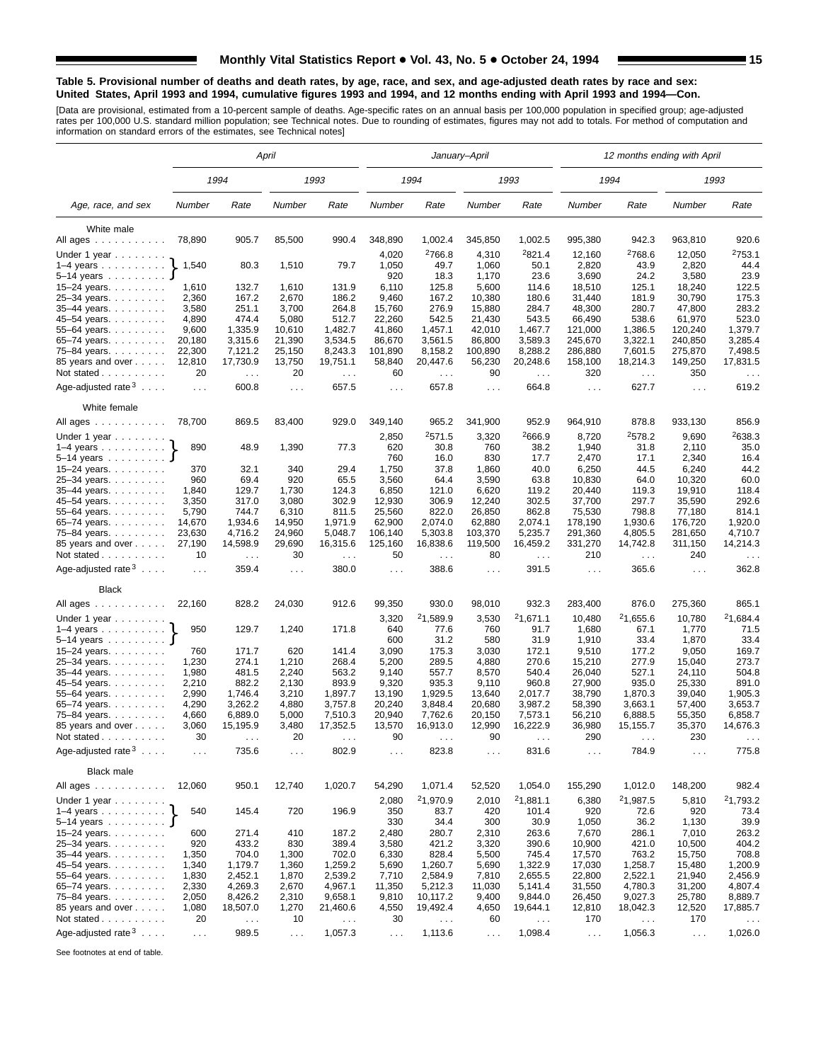#### **Table 5. Provisional number of deaths and death rates, by age, race, and sex, and age-adjusted death rates by race and sex: United States, April 1993 and 1994, cumulative figures 1993 and 1994, and 12 months ending with April 1993 and 1994—Con.**

[Data are provisional, estimated from a 10-percent sample of deaths. Age-specific rates on an annual basis per 100,000 population in specified group; age-adjusted<br>rates per 100,000 U.S. standard million population; see Tec

|                                          |                |                      | April          |                      |                      |                    | January-April        |                    |                      | 12 months ending with April |                      |                      |
|------------------------------------------|----------------|----------------------|----------------|----------------------|----------------------|--------------------|----------------------|--------------------|----------------------|-----------------------------|----------------------|----------------------|
|                                          |                | 1994                 |                | 1993                 |                      | 1994               |                      | 1993               |                      | 1994                        |                      | 1993                 |
| Age, race, and sex                       | Number         | Rate                 | Number         | Rate                 | Number               | Rate               | Number               | Rate               | Number               | Rate                        | Number               | Rate                 |
| White male                               |                |                      |                |                      |                      |                    |                      |                    |                      |                             |                      |                      |
| All ages                                 | 78,890         | 905.7                | 85,500         | 990.4                | 348,890              | 1,002.4            | 345,850              | 1,002.5            | 995,380              | 942.3                       | 963,810              | 920.6                |
| Under 1 year                             |                |                      |                |                      | 4,020                | <sup>2</sup> 766.8 | 4,310                | <sup>2</sup> 821.4 | 12,160               | <sup>2</sup> 768.6          | 12,050               | 2753.1               |
| $1-4$ years $\ldots$ $\ldots$ $\ldots$ . | 1,540          | 80.3                 | 1,510          | 79.7                 | 1,050                | 49.7               | 1,060                | 50.1               | 2,820                | 43.9                        | 2,820                | 44.4                 |
| $5-14$ years $\ldots$                    |                |                      |                |                      | 920                  | 18.3               | 1,170                | 23.6               | 3,690                | 24.2                        | 3,580                | 23.9                 |
| 15-24 years.                             | 1,610          | 132.7                | 1,610          | 131.9                | 6,110                | 125.8              | 5,600                | 114.6              | 18,510               | 125.1                       | 18,240               | 122.5                |
| 25-34 years.                             | 2,360          | 167.2                | 2,670          | 186.2                | 9,460                | 167.2              | 10,380               | 180.6              | 31,440               | 181.9                       | 30,790               | 175.3                |
| 35-44 years.                             | 3,580          | 251.1                | 3,700          | 264.8                | 15,760               | 276.9              | 15,880               | 284.7              | 48,300               | 280.7                       | 47,800               | 283.2                |
| 45-54 years.                             | 4,890          | 474.4                | 5,080          | 512.7                | 22,260               | 542.5              | 21,430               | 543.5              | 66,490               | 538.6                       | 61,970               | 523.0                |
| 55-64 years.                             | 9,600          | 1,335.9              | 10,610         | 1,482.7              | 41,860               | 1,457.1            | 42,010               | 1,467.7            | 121,000              | 1,386.5                     | 120,240              | 1,379.7              |
| 65-74 years.                             | 20,180         | 3,315.6              | 21,390         | 3,534.5              | 86,670               | 3,561.5            | 86,800               | 3,589.3            | 245,670              | 3,322.1                     | 240,850              | 3,285.4              |
| 75–84 years                              | 22,300         | 7,121.2              | 25,150         | 8,243.3              | 101,890              | 8,158.2            | 100,890              | 8,288.2            | 286,880              | 7,601.5                     | 275,870              | 7,498.5              |
| 85 years and over                        | 12,810         | 17,730.9             | 13,750         | 19,751.1             | 58,840               | 20,447.6           | 56,230               | 20,248.6           | 158,100              | 18,214.3                    | 149,250              | 17,831.5             |
| Not stated                               | 20             | $\sim 100$           | 20             | $\sim$ .             | 60                   | $\sim$ $\sim$      | 90                   | $\sim$ $\sim$      | 320                  | $\sim$ $\sim$               | 350                  | $\sim$ $\sim$ $\sim$ |
| Age-adjusted rate $3 \ldots$ .           | $\cdots$       | 600.8                | $\cdots$       | 657.5                | $\sim$ $\sim$ $\sim$ | 657.8              | $\sim$ .             | 664.8              | $\sim 100$           | 627.7                       | $\sim 100$           | 619.2                |
| White female                             |                |                      |                |                      |                      |                    |                      |                    |                      |                             |                      |                      |
| All ages                                 | 78,700         | 869.5                | 83,400         | 929.0                | 349,140              | 965.2              | 341,900              | 952.9              | 964,910              | 878.8                       | 933,130              | 856.9                |
| Under 1 year $\ldots$                    |                |                      |                |                      | 2,850                | <sup>2</sup> 571.5 | 3,320                | <sup>2</sup> 666.9 | 8,720                | 2578.2                      | 9,690                | 2638.3               |
| $1-4$ years                              | 890            | 48.9                 | 1,390          | 77.3                 | 620                  | 30.8               | 760                  | 38.2               | 1,940                | 31.8                        | 2,110                | 35.0                 |
| $5-14$ years                             |                |                      |                |                      | 760                  | 16.0               | 830                  | 17.7               | 2,470                | 17.1                        | 2,340                | 16.4                 |
| 15-24 years.                             | 370            | 32.1                 | 340            | 29.4                 | 1,750                | 37.8               | 1,860                | 40.0               | 6,250                | 44.5                        | 6,240                | 44.2                 |
| 25-34 years.                             | 960            | 69.4                 | 920            | 65.5                 | 3,560                | 64.4               | 3,590                | 63.8               | 10,830               | 64.0                        | 10,320               | 60.0                 |
| 35-44 years.                             | 1,840          | 129.7                | 1,730          | 124.3                | 6,850                | 121.0              | 6,620                | 119.2              | 20,440               | 119.3                       | 19,910               | 118.4                |
| 45-54 years.                             | 3,350          | 317.0                | 3,080          | 302.9                | 12,930               | 306.9              | 12,240               | 302.5              | 37,700               | 297.7                       | 35,590               | 292.6                |
| 55-64 years.                             | 5,790          | 744.7                | 6,310          | 811.5                | 25,560               | 822.0              | 26,850               | 862.8              | 75,530               | 798.8                       | 77,180               | 814.1                |
| 65-74 years.                             | 14,670         | 1,934.6              | 14,950         | 1.971.9              | 62,900               | 2.074.0            | 62,880               | 2,074.1            | 178,190              | 1,930.6                     | 176,720              | 1,920.0              |
| 75-84 years.                             | 23,630         | 4,716.2              | 24,960         | 5,048.7              | 106,140              | 5,303.8            | 103,370              | 5,235.7            | 291,360              | 4,805.5                     | 281,650              | 4,710.7              |
| 85 years and over                        | 27,190         | 14,598.9             | 29,690         | 16,315.6             | 125,160              | 16,838.6           | 119,500              | 16,459.2           | 331,270              | 14,742.8                    | 311,150              | 14,214.3             |
| Not stated                               | 10             | $\sim 100$           | 30             | $\sim$ $\sim$ $\sim$ | 50                   | $\ldots$           | 80                   | $\sim 100$         | 210                  | $\sim 100$                  | 240                  | $\cdots$             |
| Age-adjusted rate $3 \ldots$ .           | $\ldots$       | 359.4                | $\cdots$       | 380.0                | $\sim$ $\sim$ $\sim$ | 388.6              | $\sim$ $\sim$ $\sim$ | 391.5              | $\sim 100$           | 365.6                       | $\sim$ $\sim$ $\sim$ | 362.8                |
| <b>Black</b>                             |                |                      |                |                      |                      |                    |                      |                    |                      |                             |                      |                      |
| All ages                                 | 22,160         | 828.2                | 24,030         | 912.6                | 99,350               | 930.0              | 98,010               | 932.3              | 283,400              | 876.0                       | 275,360              | 865.1                |
| Under 1 year                             |                |                      |                |                      | 3,320                | 21,589.9           | 3,530                | 21,671.1           | 10,480               | 21,655.6                    | 10,780               | 21,684.4             |
| $1-4$ years                              | 950            | 129.7                | 1,240          | 171.8                | 640                  | 77.6               | 760                  | 91.7               | 1,680                | 67.1                        | 1,770                | 71.5                 |
| 5–14 years <b>J</b>                      |                |                      |                |                      | 600                  | 31.2               | 580                  | 31.9               | 1,910                | 33.4                        | 1,870                | 33.4                 |
| 15-24 years.                             | 760            | 171.7                | 620            | 141.4                | 3,090                | 175.3              | 3,030                | 172.1              | 9,510                | 177.2                       | 9,050                | 169.7                |
| 25-34 years.                             | 1,230          | 274.1                | 1,210          | 268.4                | 5,200                | 289.5              | 4,880                | 270.6              | 15,210               | 277.9                       | 15,040               | 273.7                |
| 35-44 years.                             | 1,980          | 481.5                | 2,240          | 563.2                | 9,140                | 557.7              | 8,570                | 540.4              | 26,040               | 527.1                       | 24,110               | 504.8                |
| 45–54 years.                             | 2,210          | 882.2                | 2,130          | 893.9                | 9,320                | 935.3              | 9,110                | 960.8              | 27,900               | 935.0                       | 25,330               | 891.0                |
| 55-64 years.                             | 2,990          | 1,746.4              | 3,210          | 1,897.7              | 13,190               | 1,929.5            | 13,640               | 2,017.7            | 38,790               | 1,870.3                     | 39,040               | 1,905.3              |
| 65-74 years.                             | 4,290          | 3,262.2              | 4,880          | 3,757.8              | 20,240               | 3,848.4            | 20,680               | 3,987.2            | 58,390               | 3,663.1                     | 57,400               | 3,653.7              |
| 75-84 years.                             | 4,660          | 6,889.0              | 5,000          | 7,510.3              | 20,940               | 7,762.6            | 20,150               | 7,573.1            | 56,210               | 6,888.5                     | 55,350               | 6,858.7              |
| 85 years and over                        | 3,060          | 15.195.9             | 3,480          | 17,352.5             | 13,570               | 16.913.0           | 12,990               | 16,222.9           | 36,980               | 15.155.7                    | 35,370               | 14,676.3             |
| Not stated                               | 30             | $\sim$ $\sim$ $\sim$ | 20             | $\sim$ $\sim$ $\sim$ | 90                   | $\cdots$           | 90                   | $\cdots$           | 290                  | $\sim$ $\sim$ $\sim$        | 230                  | $\sim$ $\sim$ $\sim$ |
| Age-adjusted rate $3 \ldots$ .           | $\cdots$       | 735.6                | $\cdots$       | 802.9                | $\sim$ $\sim$ $\sim$ | 823.8              | $\cdots$             | 831.6              | $\sim$ $\sim$ $\sim$ | 784.9                       | $\cdots$             | 775.8                |
| Black male                               |                |                      |                |                      |                      |                    |                      |                    |                      |                             |                      |                      |
| All ages                                 | 12,060         | 950.1                | 12,740         | 1,020.7              | 54,290               | 1,071.4            | 52,520               | 1,054.0            | 155,290              | 1,012.0                     | 148,200              | 982.4                |
| Under 1 year $\ldots$                    |                |                      |                |                      | 2,080                | 21,970.9           | 2,010                | 21,881.1           | 6,380                | 21,987.5                    | 5,810                | 21,793.2             |
| $1-4$ years                              | 540            | 145.4                | 720            | 196.9                | 350                  | 83.7               | 420                  | 101.4              | 920                  | 72.6                        | 920                  | 73.4                 |
| 5-14 years $J$                           |                |                      |                |                      | 330                  | 34.4               | 300                  | 30.9               | 1,050                | 36.2                        | 1,130                | 39.9                 |
| 15–24 years. $\ldots$                    | 600            | 271.4                | 410            | 187.2                | 2,480                | 280.7              | 2,310                | 263.6              | 7,670                | 286.1                       | 7,010                | 263.2                |
| 25-34 years.                             | 920            | 433.2                | 830            | 389.4                | 3,580                | 421.2              | 3,320                | 390.6              | 10,900               | 421.0                       | 10,500               | 404.2                |
| 35-44 years.                             | 1,350          | 704.0<br>1,179.7     | 1,300          | 702.0                | 6,330                | 828.4              | 5,500                | 745.4              | 17,570               | 763.2                       | 15,750               | 708.8<br>1,200.9     |
| 45-54 years.<br>55-64 years.             | 1,340<br>1,830 | 2,452.1              | 1,360<br>1,870 | 1,259.2<br>2,539.2   | 5,690<br>7,710       | 1,260.7<br>2,584.9 | 5,690<br>7,810       | 1,322.9<br>2,655.5 | 17,030<br>22,800     | 1,258.7<br>2,522.1          | 15,480<br>21,940     | 2,456.9              |
| 65-74 years.                             | 2,330          | 4,269.3              | 2,670          | 4,967.1              | 11,350               | 5,212.3            | 11,030               | 5,141.4            | 31,550               | 4,780.3                     | 31,200               | 4,807.4              |
| 75-84 years.                             | 2,050          | 8,426.2              | 2,310          | 9,658.1              | 9,810                | 10,117.2           | 9,400                | 9,844.0            | 26,450               | 9,027.3                     | 25,780               | 8,889.7              |
| 85 years and over                        | 1,080          | 18,507.0             | 1,270          | 21,460.6             | 4,550                | 19,492.4           | 4,650                | 19,644.1           | 12,810               | 18,042.3                    | 12,520               | 17,885.7             |
| Not stated                               | 20             | $\sim$ $\sim$        | 10             | $\ldots$             | 30                   | $\sim$ $\sim$      | 60                   | $\sim$ $\sim$      | 170                  | $\sim$ $\sim$               | 170                  | $\sim$ $\sim$ $\sim$ |
|                                          |                |                      |                |                      |                      |                    |                      |                    |                      |                             |                      |                      |
| Age-adjusted rate $3 \ldots$ .           | $\sim$ .       | 989.5                | $\sim$ $\sim$  | 1,057.3              | $\sim$ $\sim$        | 1,113.6            | $\sim$ $\sim$        | 1,098.4            | $\sim$ $\sim$        | 1,056.3                     | $\sim 10$            | 1,026.0              |

See footnotes at end of table.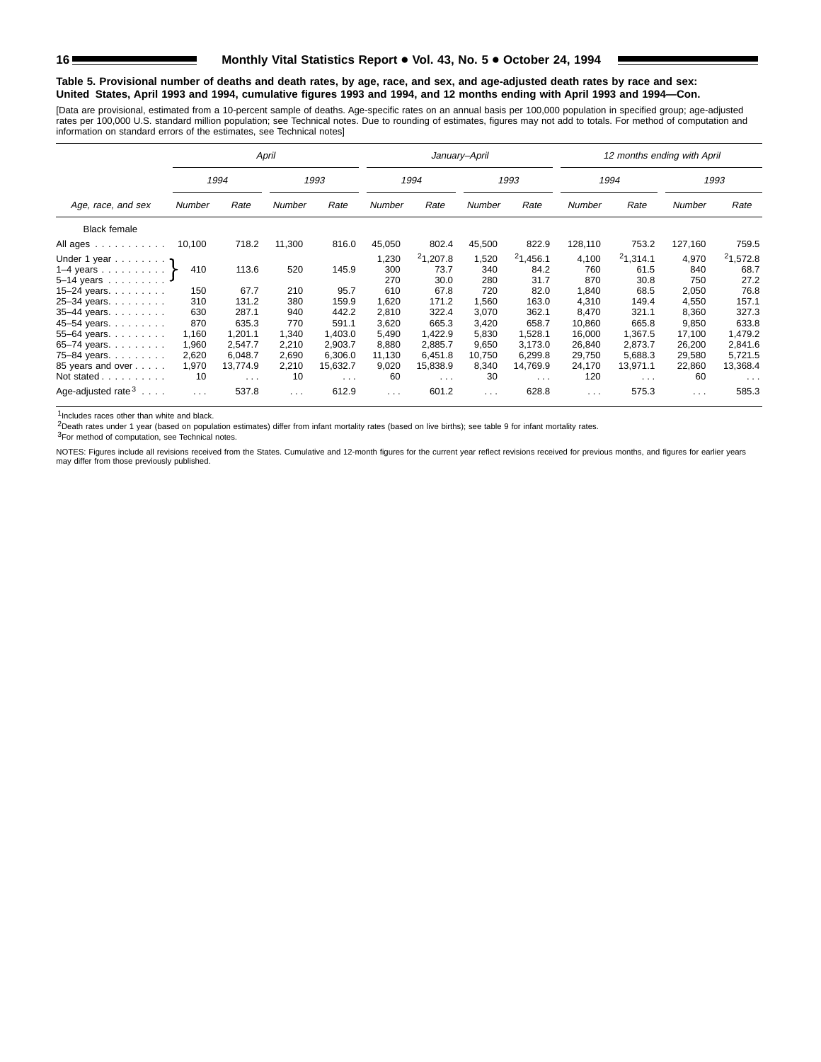#### **Table 5. Provisional number of deaths and death rates, by age, race, and sex, and age-adjusted death rates by race and sex: United States, April 1993 and 1994, cumulative figures 1993 and 1994, and 12 months ending with April 1993 and 1994—Con.**

[Data are provisional, estimated from a 10-percent sample of deaths. Age-specific rates on an annual basis per 100,000 population in specified group; age-adjusted<br>rates per 100,000 U.S. standard million population; see Tec

|                                |          |                      | April    |                      |          |                      | January-April |                      |          | 12 months ending with April |          |                      |
|--------------------------------|----------|----------------------|----------|----------------------|----------|----------------------|---------------|----------------------|----------|-----------------------------|----------|----------------------|
|                                |          | 1994                 |          | 1993                 |          | 1994                 |               | 1993                 |          | 1994                        |          | 1993                 |
| Age, race, and sex             | Number   | Rate                 | Number   | Rate                 | Number   | Rate                 | <b>Number</b> | Rate                 | Number   | Rate                        | Number   | Rate                 |
| <b>Black female</b>            |          |                      |          |                      |          |                      |               |                      |          |                             |          |                      |
| All ages                       | 10,100   | 718.2                | 11,300   | 816.0                | 45,050   | 802.4                | 45,500        | 822.9                | 128,110  | 753.2                       | 127,160  | 759.5                |
| Under 1 year                   |          |                      |          |                      | 1,230    | 21,207.8             | 1,520         | 21,456.1             | 4,100    | 21,314.1                    | 4,970    | 21,572.8             |
| 1-4 years $\uparrow$           | 410      | 113.6                | 520      | 145.9                | 300      | 73.7                 | 340           | 84.2                 | 760      | 61.5                        | 840      | 68.7                 |
| $5 - 14$ years                 |          |                      |          |                      | 270      | 30.0                 | 280           | 31.7                 | 870      | 30.8                        | 750      | 27.2                 |
| $15 - 24$ years.               | 150      | 67.7                 | 210      | 95.7                 | 610      | 67.8                 | 720           | 82.0                 | 1,840    | 68.5                        | 2,050    | 76.8                 |
| 25-34 years.                   | 310      | 131.2                | 380      | 159.9                | 1,620    | 171.2                | 1.560         | 163.0                | 4.310    | 149.4                       | 4,550    | 157.1                |
| 35-44 years.                   | 630      | 287.1                | 940      | 442.2                | 2,810    | 322.4                | 3,070         | 362.1                | 8.470    | 321.1                       | 8,360    | 327.3                |
| 45-54 years.                   | 870      | 635.3                | 770      | 591.1                | 3,620    | 665.3                | 3,420         | 658.7                | 10,860   | 665.8                       | 9,850    | 633.8                |
| 55-64 years.                   | 1,160    | 1,201.1              | 1,340    | 1,403.0              | 5,490    | 1,422.9              | 5,830         | 1,528.1              | 16,000   | 1.367.5                     | 17,100   | 1,479.2              |
| 65-74 years.                   | 1,960    | 2,547.7              | 2,210    | 2,903.7              | 8,880    | 2,885.7              | 9,650         | 3,173.0              | 26,840   | 2,873.7                     | 26,200   | 2,841.6              |
| 75-84 years                    | 2,620    | 6.048.7              | 2,690    | 6.306.0              | 11,130   | 6.451.8              | 10,750        | 6.299.8              | 29.750   | 5.688.3                     | 29,580   | 5,721.5              |
| 85 years and over              | 1,970    | 13,774.9             | 2,210    | 15,632.7             | 9,020    | 15,838.9             | 8,340         | 14,769.9             | 24,170   | 13.971.1                    | 22,860   | 13,368.4             |
| Not stated                     | 10       | $\sim$ $\sim$ $\sim$ | 10       | $\sim$ $\sim$ $\sim$ | 60       | $\sim$ $\sim$ $\sim$ | 30            | $\sim$ $\sim$ $\sim$ | 120      | $\sim$ $\sim$ $\sim$        | 60       | $\sim$ $\sim$ $\sim$ |
| Age-adjusted rate $3 \ldots$ . | $\cdots$ | 537.8                | $\cdots$ | 612.9                | $\cdots$ | 601.2                | $\cdots$      | 628.8                | $\cdots$ | 575.3                       | $\cdots$ | 585.3                |

1Includes races other than white and black.

2Death rates under 1 year (based on population estimates) differ from infant mortality rates (based on live births); see table 9 for infant mortality rates.

3For method of computation, see Technical notes.

NOTES: Figures include all revisions received from the States. Cumulative and 12-month figures for the current year reflect revisions received for previous months, and figures for earlier years may differ from those previously published.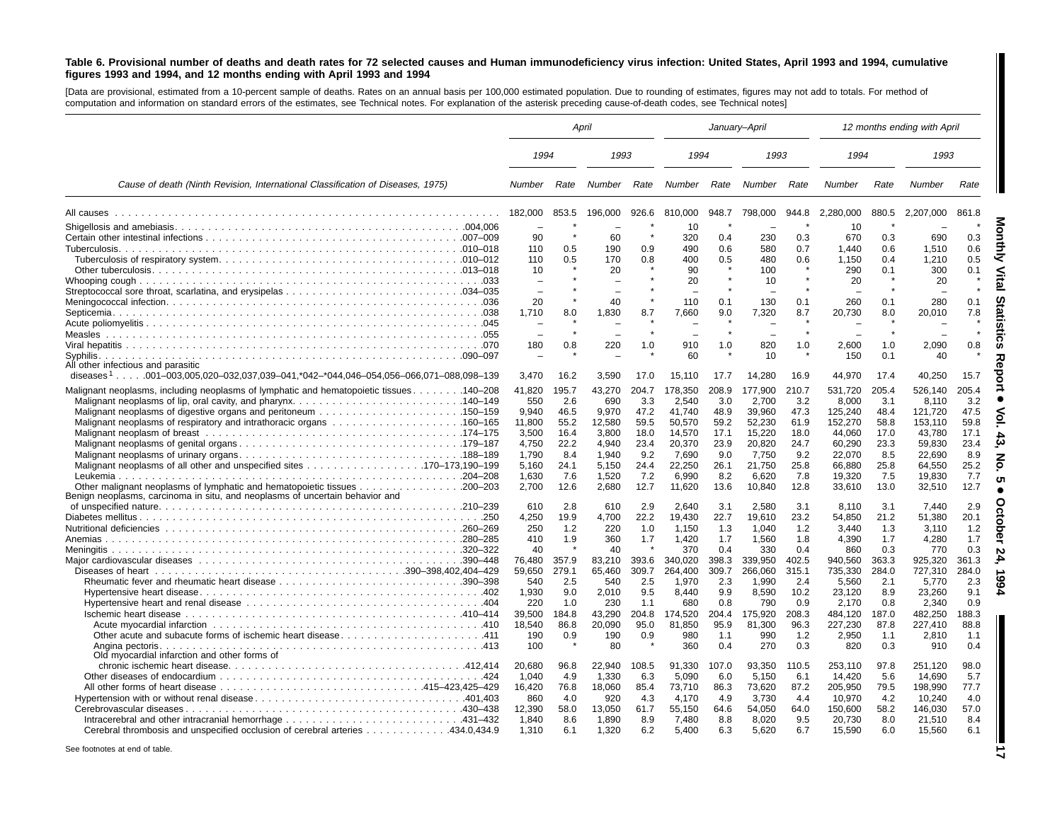#### Table 6. Provisional number of deaths and death rates for 72 selected causes and Human immunodeficiency virus infection: United States, April 1993 and 1994, cumulative figures 1993 and 1994, and 12 months ending with April 1993 and 1994

[Data are provisional, estimated from <sup>a</sup> 10-percent sample of deaths. Rates on an annual basis per 100,000 estimated population. Due to rounding of estimates, figures may not add to totals. For method of computation and information on standard errors of the estimates, see Technical notes. For explanation of the asterisk preceding cause-of-death codes, see Technical notes]

|                                                                                                                                                                     |                                                                                                               |                                                                                          | April                                                                                                        |                                                                                          | January-April                                                                                                              |                                                                                                        |                                                                                                                            |                                                                                                         | 12 months ending with April                                                                                                      |                                                                                                        |                                                                                                                                  |                                                                                                        |
|---------------------------------------------------------------------------------------------------------------------------------------------------------------------|---------------------------------------------------------------------------------------------------------------|------------------------------------------------------------------------------------------|--------------------------------------------------------------------------------------------------------------|------------------------------------------------------------------------------------------|----------------------------------------------------------------------------------------------------------------------------|--------------------------------------------------------------------------------------------------------|----------------------------------------------------------------------------------------------------------------------------|---------------------------------------------------------------------------------------------------------|----------------------------------------------------------------------------------------------------------------------------------|--------------------------------------------------------------------------------------------------------|----------------------------------------------------------------------------------------------------------------------------------|--------------------------------------------------------------------------------------------------------|
|                                                                                                                                                                     | 1994                                                                                                          |                                                                                          | 1993                                                                                                         |                                                                                          | 1994                                                                                                                       |                                                                                                        | 1993                                                                                                                       |                                                                                                         | 1994                                                                                                                             |                                                                                                        | 1993                                                                                                                             |                                                                                                        |
| Cause of death (Ninth Revision, International Classification of Diseases, 1975)                                                                                     | Number                                                                                                        | Rate                                                                                     | Number                                                                                                       | Rate                                                                                     | Number                                                                                                                     | Rate                                                                                                   | Number                                                                                                                     | Rate                                                                                                    | Number                                                                                                                           | Rate                                                                                                   | <b>Number</b>                                                                                                                    | Rate                                                                                                   |
|                                                                                                                                                                     | 182,000                                                                                                       | 853.5                                                                                    | 196.000                                                                                                      | 926.6                                                                                    | 810.000                                                                                                                    | 948.7                                                                                                  | 798.000                                                                                                                    | 944.8                                                                                                   | 2.280.000                                                                                                                        | 880.5                                                                                                  | 2.207.000                                                                                                                        | 861.8                                                                                                  |
| Septicemia                                                                                                                                                          | 90<br>110<br>110<br>10<br>20<br>1,710                                                                         | $\star$<br>0.5<br>0.5<br>$\star$<br>8.0                                                  | 60<br>190<br>170<br>20<br>40<br>1,830                                                                        | 0.9<br>0.8<br>8.7                                                                        | 10<br>320<br>490<br>400<br>90<br>20<br>110<br>7,660                                                                        | 0.4<br>0.6<br>0.5<br>0.1<br>9.0                                                                        | 230<br>580<br>480<br>100<br>10<br>130<br>7,320                                                                             | 0.3<br>0.7<br>0.6<br>0.1<br>8.7                                                                         | 10<br>670<br>1,440<br>1,150<br>290<br>20<br>260<br>20,730                                                                        | 0.3<br>0.6<br>0.4<br>0.1<br>0.1<br>8.0                                                                 | 690<br>1,510<br>1,210<br>300<br>20<br>280<br>20,010                                                                              | 0.3<br>0.6<br>0.5<br>0.1<br>0.1<br>7.8                                                                 |
| All other infectious and parasitic<br>diseases <sup>1</sup> 001-003,005,020-032,037,039-041,*042-*044,046-054,056-066,071-088,098-139                               | 180<br>3.470                                                                                                  | 0.8<br>16.2                                                                              | 220<br>3,590                                                                                                 | 1.0<br>17.0                                                                              | 910<br>60<br>15,110                                                                                                        | 1.0<br>17.7                                                                                            | 820<br>10<br>14.280                                                                                                        | 1.0<br>16.9                                                                                             | 2,600<br>150<br>44,970                                                                                                           | 1.0<br>0.1<br>17.4                                                                                     | 2,090<br>40<br>40.250                                                                                                            | 0.8<br>15.7                                                                                            |
| Malignant neoplasms, including neoplasms of lymphatic and hematopoietic tissues 140–208<br>Other malignant neoplasms of lymphatic and hematopoietic tissues 200–203 | 41.820<br>550<br>9.940<br>11.800<br>3,500<br>4,750<br>1,790<br>5,160<br>1,630<br>2,700                        | 195.7<br>2.6<br>46.5<br>55.2<br>16.4<br>22.2<br>8.4<br>24.1<br>7.6<br>12.6               | 43.270<br>690<br>9.970<br>12.580<br>3,800<br>4.940<br>1,940<br>5,150<br>1,520<br>2,680                       | 204.7<br>3.3<br>47.2<br>59.5<br>18.0<br>23.4<br>9.2<br>24.4<br>7.2<br>12.7               | 178,350<br>2.540<br>41,740<br>50,570<br>14,570<br>20,370<br>7,690<br>22,250<br>6,990<br>11,620                             | 208.9<br>3.0<br>48.9<br>59.2<br>17.1<br>23.9<br>9.0<br>26.1<br>8.2<br>13.6                             | 177,900<br>2.700<br>39,960<br>52,230<br>15,220<br>20,820<br>7,750<br>21,750<br>6,620<br>10,840                             | 210.7<br>3.2<br>47.3<br>61.9<br>18.0<br>24.7<br>9.2<br>25.8<br>7.8<br>12.8                              | 531,720<br>8.000<br>125,240<br>152,270<br>44,060<br>60,290<br>22,070<br>66,880<br>19,320<br>33,610                               | 205.4<br>3.1<br>48.4<br>58.8<br>17.0<br>23.3<br>8.5<br>25.8<br>7.5<br>13.0                             | 526.140<br>8.110<br>121,720<br>153.110<br>43,780<br>59.830<br>22,690<br>64,550<br>19,830<br>32,510                               | 205.4<br>3.2<br>47.5<br>59.8<br>17.1<br>23.4<br>8.9<br>25.2<br>7.7<br>12.7                             |
| Benign neoplasms, carcinoma in situ, and neoplasms of uncertain behavior and<br>Anemias<br>Andina pectoris.<br>Old myocardial infarction and other forms of         | 610<br>4,250<br>250<br>410<br>40<br>76.480<br>59,650<br>540<br>1,930<br>220<br>39,500<br>18,540<br>190<br>100 | 2.8<br>19.9<br>1.2<br>1.9<br>357.9<br>279.1<br>2.5<br>9.0<br>1.0<br>184.8<br>86.8<br>0.9 | 610<br>4,700<br>220<br>360<br>40<br>83,210<br>65,460<br>540<br>2,010<br>230<br>43,290<br>20,090<br>190<br>80 | 2.9<br>22.2<br>1.0<br>1.7<br>393.6<br>309.7<br>2.5<br>9.5<br>1.1<br>204.8<br>95.0<br>0.9 | 2,640<br>19,430<br>1,150<br>1,420<br>370<br>340,020<br>264,400<br>1,970<br>8,440<br>680<br>174,520<br>81,850<br>980<br>360 | 3.1<br>22.7<br>1.3<br>1.7<br>0.4<br>398.3<br>309.7<br>2.3<br>9.9<br>0.8<br>204.4<br>95.9<br>1.1<br>0.4 | 2,580<br>19,610<br>1,040<br>1,560<br>330<br>339.950<br>266,060<br>1,990<br>8,590<br>790<br>175,920<br>81,300<br>990<br>270 | 3.1<br>23.2<br>1.2<br>1.8<br>0.4<br>402.5<br>315.1<br>2.4<br>10.2<br>0.9<br>208.3<br>96.3<br>1.2<br>0.3 | 8.110<br>54,850<br>3,440<br>4,390<br>860<br>940.560<br>735,330<br>5,560<br>23,120<br>2.170<br>484,120<br>227,230<br>2,950<br>820 | 3.1<br>21.2<br>1.3<br>1.7<br>0.3<br>363.3<br>284.0<br>2.1<br>8.9<br>0.8<br>187.0<br>87.8<br>1.1<br>0.3 | 7.440<br>51,380<br>3,110<br>4,280<br>770<br>925.320<br>727,310<br>5,770<br>23,260<br>2.340<br>482,250<br>227,410<br>2,810<br>910 | 2.9<br>20.1<br>1.2<br>1.7<br>0.3<br>361.3<br>284.0<br>2.3<br>9.1<br>0.9<br>188.3<br>88.8<br>1.1<br>0.4 |
| 434.0,434.9. Cerebral thrombosis and unspecified occlusion of cerebral arteries 434.0,434.9                                                                         | 20.680<br>1,040<br>16,420<br>860<br>12,390<br>1.840<br>1,310                                                  | 96.8<br>4.9<br>76.8<br>4.0<br>58.0<br>8.6<br>6.1                                         | 22,940<br>1,330<br>18,060<br>920<br>13,050<br>1.890<br>1,320                                                 | 108.5<br>6.3<br>85.4<br>4.3<br>61.7<br>8.9<br>6.2                                        | 91,330<br>5,090<br>73,710<br>4.170<br>55,150<br>7.480<br>5,400                                                             | 107.0<br>6.0<br>86.3<br>4.9<br>64.6<br>8.8<br>6.3                                                      | 93.350<br>5,150<br>73,620<br>3.730<br>54.050<br>8.020<br>5,620                                                             | 110.5<br>6.1<br>87.2<br>4.4<br>64.0<br>9.5<br>6.7                                                       | 253,110<br>14,420<br>205,950<br>10.970<br>150.600<br>20.730<br>15,590                                                            | 97.8<br>5.6<br>79.5<br>4.2<br>58.2<br>8.0<br>6.0                                                       | 251,120<br>14,690<br>198,990<br>10.240<br>146,030<br>21,510<br>15,560                                                            | 98.0<br>5.7<br>77.7<br>4.0<br>57.0<br>8.4<br>6.1                                                       |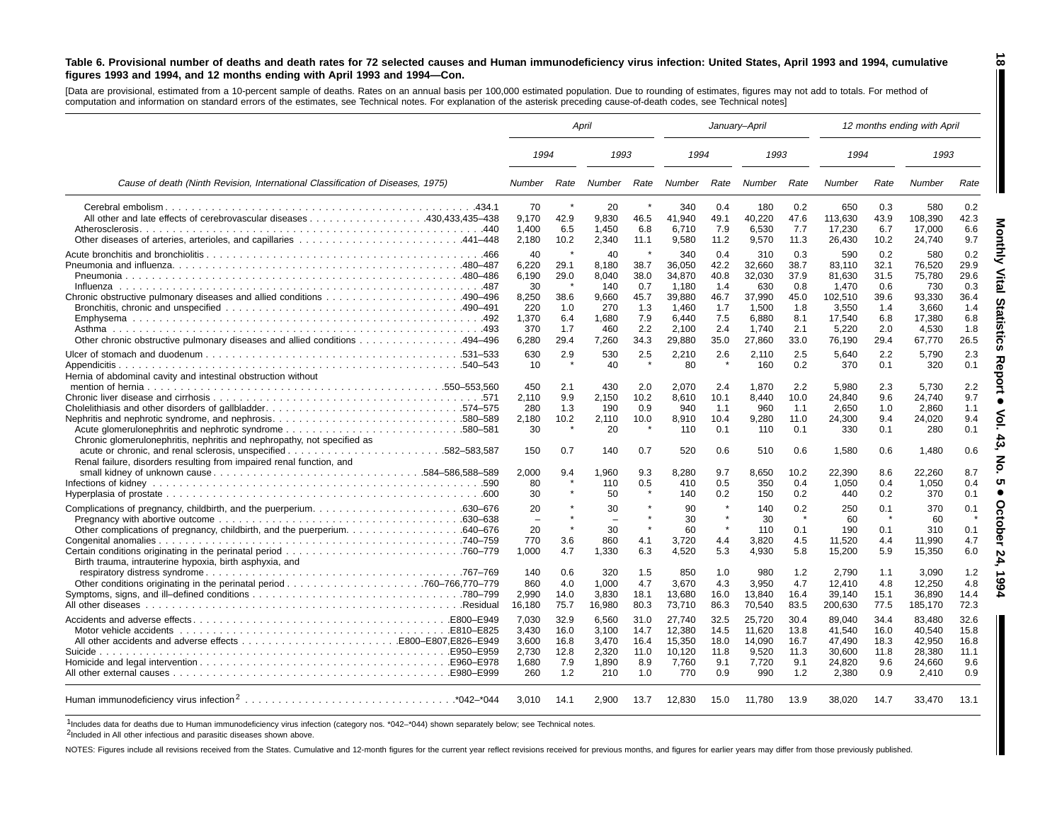#### Table 6. Provisional number of deaths and death rates for 72 selected causes and Human immunodeficiency virus infection: United States, April 1993 and 1994, cumulative figures 1993 and 1994, and 12 months ending with April 1993 and 1994-Con.

[Data are provisional, estimated from a 10-percent sample of deaths. Rates on an annual basis per 100,000 estimated population. Due to rounding of estimates, figures may not add to totals. For method of computation and information on standard errors of the estimates, see Technical notes. For explanation of the asterisk preceding cause-of-death codes, see Technical notes]

|                                                                                 | April        |                |              |                |                |                | January-April  |            | 12 months ending with April |            |                 |            |
|---------------------------------------------------------------------------------|--------------|----------------|--------------|----------------|----------------|----------------|----------------|------------|-----------------------------|------------|-----------------|------------|
|                                                                                 | 1994         |                | 1993         |                | 1994           |                | 1993           |            | 1994                        |            | 1993            |            |
| Cause of death (Ninth Revision, International Classification of Diseases, 1975) | Number       | Rate           | Number       | Rate           | Number         | Rate           | Number         | Rate       | Number                      | Rate       | Number          | Rate       |
|                                                                                 | 70           |                | 20           |                | 340            | 0.4            | 180            | 0.2        | 650                         | 0.3        | 580             | 0.2        |
|                                                                                 | 9,170        | 42.9           | 9,830        | 46.5           | 41,940         | 49.1           | 40,220         | 47.6       | 113,630                     | 43.9       | 108,390         | 42.3       |
|                                                                                 | 1,400        | 6.5            | 1,450        | 6.8            | 6,710          | 7.9            | 6,530          | 7.7        | 17,230                      | 6.7        | 17,000          | 6.6        |
| Other diseases of arteries, arterioles, and capillaries 441-448                 | 2.180        | 10.2           | 2.340        | 11.1           | 9.580          | 11.2           | 9,570          | 11.3       | 26,430                      | 10.2       | 24.740          | 9.7        |
|                                                                                 | 40           |                | 40           |                | 340            | 0.4            | 310            | 0.3        | 590                         | 0.2        | 580             | 0.2        |
|                                                                                 | 6,220        | 29.1           | 8.180        | 38.7           | 36.050         | 42.2           | 32,660         | 38.7       | 83.110                      | 32.1       | 76.520          | 29.9       |
|                                                                                 | 6,190        | 29.0           | 8,040        | 38.0           | 34,870         | 40.8           | 32,030         | 37.9       | 81,630                      | 31.5       | 75,780          | 29.6       |
| Influenza                                                                       | 30           | $\star$        | 140          | 0.7            | 1.180          | 1.4            | 630            | 0.8        | 1.470                       | 0.6        | 730             | 0.3        |
|                                                                                 | 8,250        | 38.6           | 9.660        | 45.7           | 39,880         | 46.7           | 37,990         | 45.0       | 102,510                     | 39.6       | 93,330          | 36.4       |
|                                                                                 | 220<br>1,370 | 1.0<br>6.4     | 270<br>1,680 | 1.3<br>7.9     | 1,460<br>6,440 | 1.7<br>7.5     | 1,500<br>6,880 | 1.8<br>8.1 | 3,550<br>17,540             | 1.4<br>6.8 | 3,660<br>17,380 | 1.4<br>6.8 |
|                                                                                 | 370          | 1.7            | 460          | 2.2            | 2.100          | 2.4            | 1.740          | 2.1        | 5,220                       | 2.0        | 4,530           | 1.8        |
| Other chronic obstructive pulmonary diseases and allied conditions 494–496      | 6.280        | 29.4           | 7,260        | 34.3           | 29,880         | 35.0           | 27,860         | 33.0       | 76,190                      | 29.4       | 67,770          | 26.5       |
|                                                                                 |              |                |              |                |                |                |                |            |                             |            |                 |            |
|                                                                                 | 630          | 2.9<br>$\star$ | 530          | 2.5<br>$\star$ | 2,210          | 2.6<br>$\star$ | 2,110          | 2.5        | 5.640                       | 2.2        | 5,790           | 2.3        |
| Appendicitis.                                                                   | 10           |                | 40           |                | 80             |                | 160            | 0.2        | 370                         | 0.1        | 320             | 0.1        |
| Hernia of abdominal cavity and intestinal obstruction without                   | 450          | 2.1            | 430          | 2.0            | 2,070          | 2.4            | 1,870          | 2.2        | 5.980                       | 2.3        | 5.730           | 2.2        |
|                                                                                 | 2,110        | 9.9            | 2,150        | 10.2           | 8,610          | 10.1           | 8,440          | 10.0       | 24,840                      | 9.6        | 24,740          | 9.7        |
| Cholelithiasis and other disorders of gallbladder574-575                        | 280          | 1.3            | 190          | 0.9            | 940            | 1.1            | 960            | 1.1        | 2,650                       | 1.0        | 2,860           | 1.1        |
| Nephritis and nephrotic syndrome, and nephrosis580–589                          | 2.180        | 10.2           | 2,110        | 10.0           | 8,910          | 10.4           | 9,280          | 11.0       | 24,300                      | 9.4        | 24,020          | 9.4        |
| Chronic glomerulonephritis, nephritis and nephropathy, not specified as         | 30           | $\star$        | 20           | $\star$        | 110            | 0.1            | 110            | 0.1        | 330                         | 0.1        | 280             | 0.1        |
|                                                                                 | 150          | 0.7            | 140          | 0.7            | 520            | 0.6            | 510            | 0.6        | 1,580                       | 0.6        | 1,480           | 0.6        |
| Renal failure, disorders resulting from impaired renal function, and            |              |                |              |                |                |                |                |            |                             |            |                 |            |
|                                                                                 | 2,000        | 9.4            | 1.960        | 9.3            | 8,280          | 9.7            | 8,650          | 10.2       | 22,390                      | 8.6        | 22,260          | 8.7        |
|                                                                                 | 80           | $\star$        | 110          | 0.5<br>$\star$ | 410            | 0.5            | 350            | 0.4        | 1,050                       | 0.4        | 1,050           | 0.4        |
|                                                                                 | 30           |                | 50           |                | 140            | 0.2            | 150            | 0.2        | 440                         | 0.2        | 370             | 0.1        |
|                                                                                 | 20           |                | 30           | $\star$        | 90             |                | 140            | 0.2        | 250                         | 0.1        | 370             | 0.1        |
|                                                                                 | ÷            |                |              | $\star$        | 30             | $\star$        | 30             | $\star$    | 60                          | -8         | 60              |            |
|                                                                                 | 20           | $\pmb{\ast}$   | 30           | $\star$        | 60             | $\star$        | 110            | 0.1        | 190                         | 0.1        | 310             | 0.1        |
|                                                                                 | 770          | 3.6            | 860          | 4.1            | 3.720          | 4.4            | 3,820          | 4.5        | 11.520                      | 4.4        | 11.990          | 4.7        |
|                                                                                 | 1.000        | 4.7            | 1,330        | 6.3            | 4.520          | 5.3            | 4,930          | 5.8        | 15,200                      | 5.9        | 15,350          | 6.0        |
| Birth trauma, intrauterine hypoxia, birth asphyxia, and                         | 140          |                |              |                |                |                | 980            |            |                             |            |                 |            |
|                                                                                 | 860          | 0.6<br>4.0     | 320<br>1.000 | 1.5<br>4.7     | 850<br>3.670   | 1.0<br>4.3     | 3.950          | 1.2<br>4.7 | 2,790<br>12.410             | 1.1<br>4.8 | 3,090<br>12.250 | 1.2<br>4.8 |
|                                                                                 | 2.990        | 14.0           | 3.830        | 18.1           | 13,680         | 16.0           | 13,840         | 16.4       | 39.140                      | 15.1       | 36.890          | 14.4       |
|                                                                                 | 16,180       | 75.7           | 16,980       | 80.3           | 73,710         | 86.3           | 70,540         | 83.5       | 200,630                     | 77.5       | 185,170         | 72.3       |
|                                                                                 | 7,030        | 32.9           | 6,560        | 31.0           | 27,740         | 32.5           | 25,720         | 30.4       | 89,040                      | 34.4       | 83,480          | 32.6       |
|                                                                                 | 3.430        | 16.0           | 3.100        | 14.7           | 12,380         | 14.5           | 11,620         | 13.8       | 41,540                      | 16.0       | 40,540          | 15.8       |
|                                                                                 | 3.600        | 16.8           | 3.470        | 16.4           | 15,350         | 18.0           | 14.090         | 16.7       | 47.490                      | 18.3       | 42.950          | 16.8       |
| Suicide.                                                                        | 2,730        | 12.8           | 2,320        | 11.0           | 10,120         | 11.8           | 9,520          | 11.3       | 30,600                      | 11.8       | 28,380          | 11.1       |
|                                                                                 | 1,680        | 7.9            | 1,890        | 8.9            | 7,760          | 9.1            | 7,720          | 9.1        | 24,820                      | 9.6        | 24,660          | 9.6        |
|                                                                                 | 260          | 1.2            | 210          | 1.0            | 770            | 0.9            | 990            | 1.2        | 2,380                       | 0.9        | 2,410           | 0.9        |
|                                                                                 | 3,010        | 14.1           | 2.900        | 13.7           | 12,830         | 15.0           | 11,780         | 13.9       | 38,020                      | 14.7       | 33,470          | 13.1       |

1Includes data for deaths due to Human immunodeficiency virus infection (category nos. \*042–\*044) shown separately below; see Technical notes.

2Included in All other infectious and parasitic diseases shown above.

NOTES: Figures include all revisions received from the States. Cumulative and 12-month figures for the current year reflect revisions received for previous months, and figures for earlier years may differ from those previo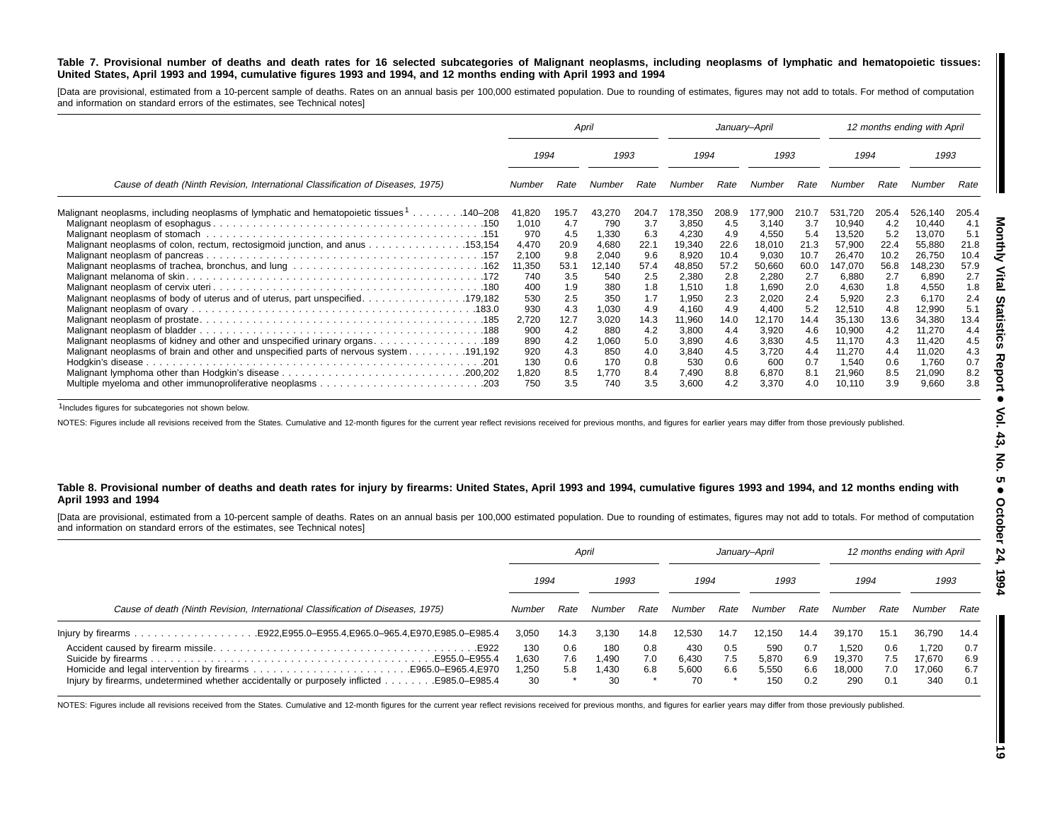#### Table 7. Provisional number of deaths and death rates for 16 selected subcategories of Malignant neoplasms, including neoplasms of lymphatic and hematopoietic tissues: United States, April 1993 and 1994, cumulative figures 1993 and 1994, and 12 months ending with April 1993 and 1994

[Data are provisional, estimated from a 10-percent sample of deaths. Rates on an annual basis per 100,000 estimated population. Due to rounding of estimates, figures may not add to totals. For method of computation and information on standard errors of the estimates, see Technical notes]

|                                                                                                 | April           |             |                 | January-April |                 |              |                 | 12 months ending with April |                   |              |                   |              |
|-------------------------------------------------------------------------------------------------|-----------------|-------------|-----------------|---------------|-----------------|--------------|-----------------|-----------------------------|-------------------|--------------|-------------------|--------------|
|                                                                                                 | 1993<br>1994    |             | 1994            |               | 1993            |              | 1994            |                             | 1993              |              |                   |              |
| Cause of death (Ninth Revision, International Classification of Diseases, 1975)                 | Number          | Rate        | Number          | Rate          | Number          | Rate         | Number          | Rate                        | Number            | Rate         | Number            | Rate         |
| Malignant neoplasms, including neoplasms of lymphatic and hematopoietic tissues 1140–208        | 41,820          | 195.7       | 43,270          | 204.7         | 178,350         | 208.9        | 177,900         | 210.7                       | 531.720           | 205.4        | 526,140           | 205.4        |
|                                                                                                 | 1,010           | 4.7         | 790             | 3.7           | 3,850           | 4.5          | 3,140           | 3.7                         | 10,940            | 4.2          | 10,440            | 4.1          |
|                                                                                                 | 970             | 4.5         | 1,330           | 6.3           | 4,230           | 4.9          | 4,550           | 5.4                         | 13,520            | 5.2          | 13,070            | 5.1          |
| Malignant neoplasms of colon, rectum, rectosigmoid junction, and anus 153,154                   | 4,470           | 20.9<br>9.8 | 4,680           | 22.1<br>9.6   | 19,340          | 22.6<br>10.4 | 18,010          | 21.3<br>10.7                | 57,900            | 22.4<br>10.2 | 55,880            | 21.8<br>10.4 |
|                                                                                                 | 2,100<br>11,350 | 53.1        | 2,040<br>12,140 | 57.4          | 8,920<br>48,850 | 57.2         | 9,030<br>50,660 | 60.0                        | 26,470<br>147,070 | 56.8         | 26,750<br>148,230 | 57.9         |
|                                                                                                 | 740             | 3.5         | 540             | 2.5           | 2,380           | 2.8          | 2,280           | 2.7                         | 6,880             | 2.7          | 6,890             | 2.7          |
|                                                                                                 | 400             | 1.9         | 380             | 1.8           | 1,510           | 1.8          | 1,690           | 2.0                         | 4,630             | 1.8          | 4,550             | 1.8          |
| Malignant neoplasms of body of uterus and of uterus, part unspecified. 179,182                  | 530             | 2.5         | 350             | 1.7           | 1,950           | 2.3          | 2,020           | 2.4                         | 5,920             | 2.3          | 6,170             | 2.4          |
|                                                                                                 | 930             | 4.3         | 1,030           | 4.9           | 4,160           | 4.9          | 4,400           | 5.2                         | 12,510            | 4.8          | 12,990            | 5.1          |
|                                                                                                 | 2,720           | 12.7        | 3,020           | 14.3          | 11,960          | 14.0         | 12,170          | 14.4                        | 35,130            | 13.6         | 34,380            | 13.4         |
|                                                                                                 | 900             | 4.2         | 880             | 4.2           | 3,800           | 4.4          | 3,920           | 4.6                         | 10,900            | 4.2          | 11.270            | 4.4          |
|                                                                                                 | 890             | 4.2         | 1,060           | 5.0           | 3,890           | 4.6          | 3,830           | 4.5                         | 11,170            | 4.3          | 11,420            | 4.5          |
| 191,192. Malignant neoplasms of brain and other and unspecified parts of nervous system 191,192 | 920             | 4.3         | 850             | 4.0           | 3,840           | 4.5          | 3,720           | 4.4                         | 11,270            | 4.4          | 11,020            | 4.3          |
|                                                                                                 | 130             | 0.6         | 170             | 0.8           | 530             | 0.6          | 600             | 0.7                         | 1,540             | 0.6          | 1,760             | 0.7          |
|                                                                                                 | 1,820<br>750    | 8.5<br>3.5  | 1,770<br>740    | 8.4<br>3.5    | 7,490<br>3,600  | 8.8<br>4.2   | 6,870<br>3,370  | 8.1<br>4.0                  | 21,960<br>10,110  | 8.5<br>3.9   | 21,090<br>9,660   | 8.2<br>3.8   |

1Includes figures for subcategories not shown below.

NOTES: Figures include all revisions received from the States. Cumulative and 12-month figures for the current year reflect revisions received for previous months, and figures for earlier years may differ from those previo

#### Table 8. Provisional number of deaths and death rates for injury by firearms: United States, April 1993 and 1994, cumulative figures 1993 and 1994, and 12 months ending with **April 1993 and 1994**

[Data are provisional, estimated from a 10-percent sample of deaths. Rates on an annual basis per 100,000 estimated population. Due to rounding of estimates, figures may not add to totals. For method of computation and information on standard errors of the estimates, see Technical notes]

|                                                                                                             | April                     |                   |                             | January-April     |                             |                   |                              | 12 months ending with April |                                  |                          |                                  |                          |
|-------------------------------------------------------------------------------------------------------------|---------------------------|-------------------|-----------------------------|-------------------|-----------------------------|-------------------|------------------------------|-----------------------------|----------------------------------|--------------------------|----------------------------------|--------------------------|
|                                                                                                             | 1994                      |                   | 1993                        |                   | 1994                        |                   | 1993                         |                             | 1994                             |                          | 1993                             |                          |
| Cause of death (Ninth Revision, International Classification of Diseases, 1975)                             | Number                    | Rate              | Number                      | Rate              | Number                      | Rate              | Number                       | Rate                        | Number                           | Rate                     | Number                           | Rate                     |
|                                                                                                             | 3,050                     | 14.3              | 3,130                       | 14.8              | 12.530                      | 14.7              | 12.150                       | 14.4                        | 39.170                           | 15.1                     | 36,790                           | 14.4                     |
| E955.0-E955.4<br>Injury by firearms, undetermined whether accidentally or purposely inflicted E985.0–E985.4 | 130<br>.630<br>.250<br>30 | 0.6<br>7.6<br>5.8 | 180<br>1,490<br>1.430<br>30 | 0.8<br>7.0<br>6.8 | 430<br>6.430<br>5.600<br>70 | 0.5<br>7.5<br>6.6 | 590<br>5,870<br>5,550<br>150 | 0.7<br>6.9<br>6.6<br>0.2    | 1.520<br>19.370<br>18.000<br>290 | 0.6<br>7.5<br>7.0<br>0.1 | 1.720<br>17.670<br>17.060<br>340 | 0.7<br>6.9<br>6.7<br>0.1 |

NOTES: Figures include all revisions received from the States. Cumulative and 12-month figures for the current year reflect revisions received for previous months, and figures for earlier years may differ from those previo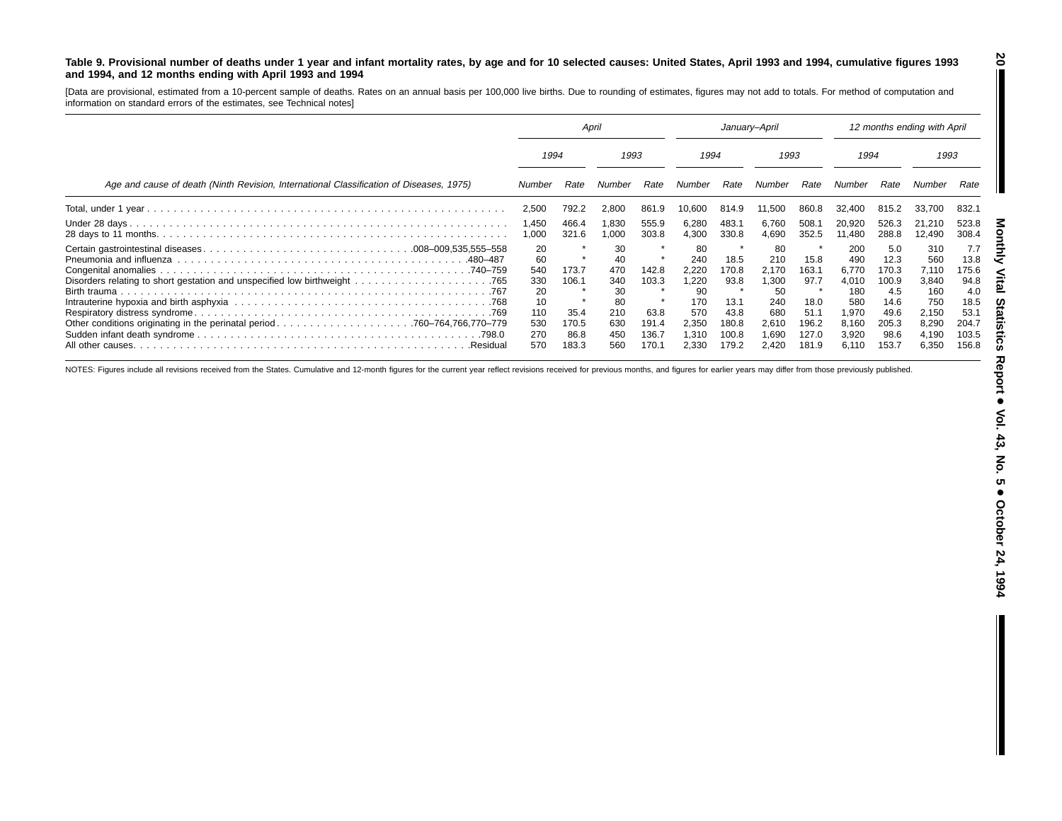#### Table 9. Provisional number of deaths under 1 year and infant mortality rates, by age and for 10 selected causes: United States, April 1993 and 1994, cumulative figures 1993 **and 1994, and 12 months ending with April 1993 and 1994**

[Data are provisional, estimated from <sup>a</sup> 10-percent sample of deaths. Rates on an annual basis per 100,000 live births. Due to rounding of estimates, figures may not add to totals. For method of computation and information on standard errors of the estimates, see Technical notes]

|                                                                                         | April                                                          |                                                  |                                                                | January-April                                     |                                                                            |                                                                  |                                                                            | 12 months ending with April                                      |                                                                                |                                                                                |                                                                                |                                                                                |
|-----------------------------------------------------------------------------------------|----------------------------------------------------------------|--------------------------------------------------|----------------------------------------------------------------|---------------------------------------------------|----------------------------------------------------------------------------|------------------------------------------------------------------|----------------------------------------------------------------------------|------------------------------------------------------------------|--------------------------------------------------------------------------------|--------------------------------------------------------------------------------|--------------------------------------------------------------------------------|--------------------------------------------------------------------------------|
|                                                                                         | 1994<br>1993                                                   |                                                  | 1994                                                           |                                                   | 1993                                                                       |                                                                  | 1994                                                                       |                                                                  | 1993                                                                           |                                                                                |                                                                                |                                                                                |
| Age and cause of death (Ninth Revision, International Classification of Diseases, 1975) | Number                                                         | Rate                                             | Number                                                         | Rate                                              | Number                                                                     | Rate                                                             | Number                                                                     | Rate                                                             | Number                                                                         | Rate                                                                           | Number                                                                         | Rate                                                                           |
|                                                                                         | 2,500                                                          | 792.2                                            | 2,800                                                          | 861.9                                             | 10,600                                                                     | 814.9                                                            | 11,500                                                                     | 860.8                                                            | 32,400                                                                         | 815.2                                                                          | 33,700                                                                         | 832.1                                                                          |
|                                                                                         | 1,450<br>1,000                                                 | 466.4<br>321.6                                   | 1,830<br>1,000                                                 | 555.9<br>303.8                                    | 6,280<br>4,300                                                             | 483.1<br>330.8                                                   | 6,760<br>4.690                                                             | 508.1<br>352.5                                                   | 20,920<br>11.480                                                               | 526.3<br>288.8                                                                 | 21,210<br>12,490                                                               | 523.8<br>308.4                                                                 |
| .Residual                                                                               | 20<br>60<br>540<br>330<br>20<br>10<br>110<br>530<br>270<br>570 | 173.7<br>106.1<br>35.4<br>170.5<br>86.8<br>183.3 | 30<br>40<br>470<br>340<br>30<br>80<br>210<br>630<br>450<br>560 | 142.8<br>103.3<br>63.8<br>191.4<br>136.7<br>170.1 | 80<br>240<br>2.220<br>1,220<br>90<br>170<br>570<br>2,350<br>1.310<br>2.330 | 18.5<br>170.8<br>93.8<br>13.1<br>43.8<br>180.8<br>100.8<br>179.2 | 80<br>210<br>2.170<br>1.300<br>50<br>240<br>680<br>2,610<br>1.690<br>2.420 | 15.8<br>163.1<br>97.7<br>18.0<br>51.1<br>196.2<br>127.0<br>181.9 | 200<br>490<br>6.770<br>4,010<br>180<br>580<br>1,970<br>8,160<br>3,920<br>6.110 | 5.0<br>12.3<br>170.3<br>100.9<br>4.5<br>14.6<br>49.6<br>205.3<br>98.6<br>153.7 | 310<br>560<br>7,110<br>3,840<br>160<br>750<br>2,150<br>8,290<br>4,190<br>6,350 | 7.7<br>13.8<br>175.6<br>94.8<br>4.0<br>18.5<br>53.7<br>204.7<br>103.5<br>156.8 |

NOTES: Figures include all revisions received from the States. Cumulative and 12-month figures for the current year reflect revisions received for previous months, and figures for earlier years may differ from those previo

**20**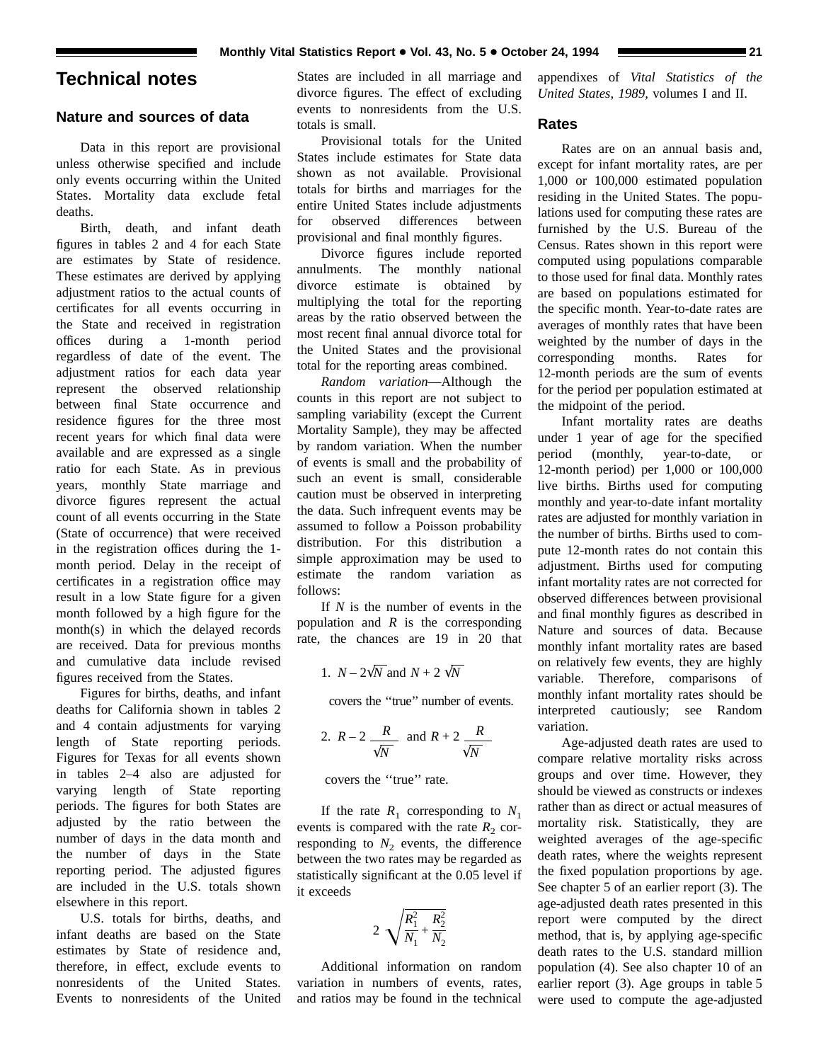### **Technical notes**

#### **Nature and sources of data**

Data in this report are provisional unless otherwise specified and include only events occurring within the United States. Mortality data exclude fetal deaths.

Birth, death, and infant death figures in tables 2 and 4 for each State are estimates by State of residence. These estimates are derived by applying adjustment ratios to the actual counts of certificates for all events occurring in the State and received in registration offices during a 1-month period regardless of date of the event. The adjustment ratios for each data year represent the observed relationship between final State occurrence and residence figures for the three most recent years for which final data were available and are expressed as a single ratio for each State. As in previous years, monthly State marriage and divorce figures represent the actual count of all events occurring in the State (State of occurrence) that were received in the registration offices during the 1 month period. Delay in the receipt of certificates in a registration office may result in a low State figure for a given month followed by a high figure for the month(s) in which the delayed records are received. Data for previous months and cumulative data include revised figures received from the States.

Figures for births, deaths, and infant deaths for California shown in tables 2 and 4 contain adjustments for varying length of State reporting periods. Figures for Texas for all events shown in tables 2–4 also are adjusted for varying length of State reporting periods. The figures for both States are adjusted by the ratio between the number of days in the data month and the number of days in the State reporting period. The adjusted figures are included in the U.S. totals shown elsewhere in this report.

U.S. totals for births, deaths, and infant deaths are based on the State estimates by State of residence and, therefore, in effect, exclude events to nonresidents of the United States. Events to nonresidents of the United

States are included in all marriage and divorce figures. The effect of excluding events to nonresidents from the U.S. totals is small.

Provisional totals for the United States include estimates for State data shown as not available. Provisional totals for births and marriages for the entire United States include adjustments for observed differences between provisional and final monthly figures.

Divorce figures include reported annulments. The monthly national divorce estimate is obtained by multiplying the total for the reporting areas by the ratio observed between the most recent final annual divorce total for the United States and the provisional total for the reporting areas combined.

*Random variation*—Although the counts in this report are not subject to sampling variability (except the Current Mortality Sample), they may be affected by random variation. When the number of events is small and the probability of such an event is small, considerable caution must be observed in interpreting the data. Such infrequent events may be assumed to follow a Poisson probability distribution. For this distribution a simple approximation may be used to estimate the random variation as follows:

If *N* is the number of events in the population and *R* is the corresponding rate, the chances are 19 in 20 that

1. 
$$
N - 2\sqrt{N}
$$
 and  $N + 2\sqrt{N}$ 

covers the ''true'' number of events.

2. 
$$
R-2
$$
  $\frac{R}{\sqrt{N}}$  and  $R+2$   $\frac{R}{\sqrt{N}}$ 

covers the ''true'' rate.

If the rate  $R_1$  corresponding to  $N_1$ events is compared with the rate  $R_2$  corresponding to  $N_2$  events, the difference between the two rates may be regarded as statistically significant at the 0.05 level if it exceeds

$$
2\sqrt{\frac{R_1^2}{N_1}+\frac{R_2^2}{N_2}}
$$

Additional information on random variation in numbers of events, rates, and ratios may be found in the technical appendixes of *Vital Statistics of the United States, 1989,* volumes I and II.

#### **Rates**

Rates are on an annual basis and, except for infant mortality rates, are per 1,000 or 100,000 estimated population residing in the United States. The populations used for computing these rates are furnished by the U.S. Bureau of the Census. Rates shown in this report were computed using populations comparable to those used for final data. Monthly rates are based on populations estimated for the specific month. Year-to-date rates are averages of monthly rates that have been weighted by the number of days in the corresponding months. Rates for 12-month periods are the sum of events for the period per population estimated at the midpoint of the period.

Infant mortality rates are deaths under 1 year of age for the specified period (monthly, year-to-date, or 12-month period) per 1,000 or 100,000 live births. Births used for computing monthly and year-to-date infant mortality rates are adjusted for monthly variation in the number of births. Births used to compute 12-month rates do not contain this adjustment. Births used for computing infant mortality rates are not corrected for observed differences between provisional and final monthly figures as described in Nature and sources of data. Because monthly infant mortality rates are based on relatively few events, they are highly variable. Therefore, comparisons of monthly infant mortality rates should be interpreted cautiously; see Random variation.

Age-adjusted death rates are used to compare relative mortality risks across groups and over time. However, they should be viewed as constructs or indexes rather than as direct or actual measures of mortality risk. Statistically, they are weighted averages of the age-specific death rates, where the weights represent the fixed population proportions by age. See chapter 5 of an earlier report (3). The age-adjusted death rates presented in this report were computed by the direct method, that is, by applying age-specific death rates to the U.S. standard million population (4). See also chapter 10 of an earlier report (3). Age groups in table 5 were used to compute the age-adjusted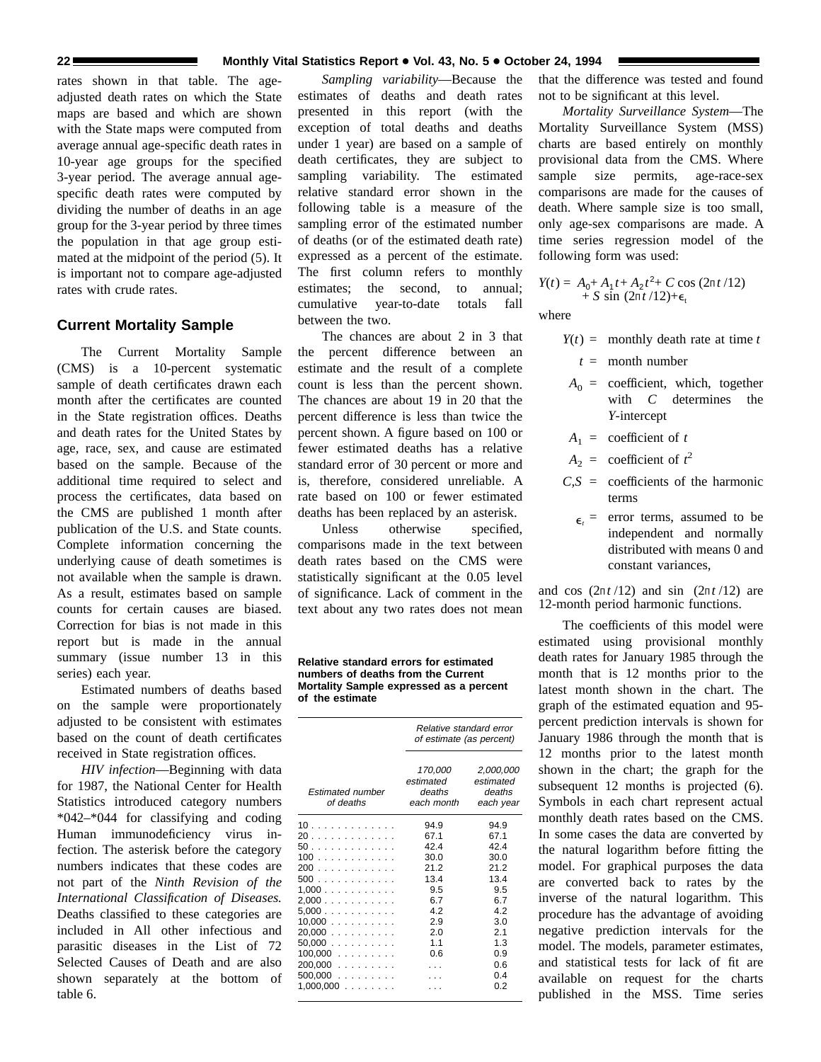rates shown in that table. The ageadjusted death rates on which the State maps are based and which are shown with the State maps were computed from average annual age-specific death rates in 10-year age groups for the specified 3-year period. The average annual agespecific death rates were computed by dividing the number of deaths in an age group for the 3-year period by three times the population in that age group estimated at the midpoint of the period (5). It is important not to compare age-adjusted rates with crude rates.

#### **Current Mortality Sample**

The Current Mortality Sample (CMS) is a 10-percent systematic sample of death certificates drawn each month after the certificates are counted in the State registration offices. Deaths and death rates for the United States by age, race, sex, and cause are estimated based on the sample. Because of the additional time required to select and process the certificates, data based on the CMS are published 1 month after publication of the U.S. and State counts. Complete information concerning the underlying cause of death sometimes is not available when the sample is drawn. As a result, estimates based on sample counts for certain causes are biased. Correction for bias is not made in this report but is made in the annual summary (issue number 13 in this series) each year.

Estimated numbers of deaths based on the sample were proportionately adjusted to be consistent with estimates based on the count of death certificates received in State registration offices.

*HIV infection*—Beginning with data for 1987, the National Center for Health Statistics introduced category numbers \*042–\*044 for classifying and coding Human immunodeficiency virus infection. The asterisk before the category numbers indicates that these codes are not part of the *Ninth Revision of the International Classification of Diseases.* Deaths classified to these categories are included in All other infectious and parasitic diseases in the List of 72 Selected Causes of Death and are also shown separately at the bottom of table 6.

*Sampling variability*—Because the estimates of deaths and death rates presented in this report (with the exception of total deaths and deaths under 1 year) are based on a sample of death certificates, they are subject to sampling variability. The estimated relative standard error shown in the following table is a measure of the sampling error of the estimated number of deaths (or of the estimated death rate) expressed as a percent of the estimate. The first column refers to monthly estimates; the second, to annual; cumulative year-to-date totals fall between the two.

The chances are about 2 in 3 that the percent difference between an estimate and the result of a complete count is less than the percent shown. The chances are about 19 in 20 that the percent difference is less than twice the percent shown. A figure based on 100 or fewer estimated deaths has a relative standard error of 30 percent or more and is, therefore, considered unreliable. A rate based on 100 or fewer estimated deaths has been replaced by an asterisk.

Unless otherwise specified. comparisons made in the text between death rates based on the CMS were statistically significant at the 0.05 level of significance. Lack of comment in the text about any two rates does not mean

**Relative standard errors for estimated numbers of deaths from the Current Mortality Sample expressed as a percent of the estimate**

|                                | Relative standard error<br>of estimate (as percent) |                                               |  |  |  |
|--------------------------------|-----------------------------------------------------|-----------------------------------------------|--|--|--|
| Estimated number<br>of deaths  | 170,000<br>estimated<br>deaths<br>each month        | 2,000,000<br>estimated<br>deaths<br>each year |  |  |  |
| 10                             | 94.9                                                | 94.9                                          |  |  |  |
| 20                             | 67.1                                                | 67.1                                          |  |  |  |
| 50                             | 42.4                                                | 424                                           |  |  |  |
| 100                            | 30.0                                                | 30.0                                          |  |  |  |
| 200                            | 21.2                                                | 21.2                                          |  |  |  |
| 500                            | 13.4                                                | 13.4                                          |  |  |  |
| 1,000                          | 9.5                                                 | 9.5                                           |  |  |  |
| 2,000                          | 6.7                                                 | 6.7                                           |  |  |  |
| $5,000$                        | 4.2                                                 | 4.2                                           |  |  |  |
| 10,000                         | 2.9                                                 | 3.0                                           |  |  |  |
| $20,000$                       | 2.0                                                 | 2.1                                           |  |  |  |
| 50.000                         | 1.1                                                 | 1.3                                           |  |  |  |
| 100,000.<br>and a straight and | 0.6                                                 | 0.9                                           |  |  |  |
| 200.000                        |                                                     | 0.6                                           |  |  |  |
| $500,000$                      |                                                     | 0.4                                           |  |  |  |
| $1,000,000$                    |                                                     | 0.2                                           |  |  |  |

that the difference was tested and found not to be significant at this level.

*Mortality Surveillance System*—The Mortality Surveillance System (MSS) charts are based entirely on monthly provisional data from the CMS. Where sample size permits, age-race-sex comparisons are made for the causes of death. Where sample size is too small, only age-sex comparisons are made. A time series regression model of the following form was used:

$$
Y(t) = A_0 + A_1 t + A_2 t^2 + C \cos (2\pi t / 12) + S \sin (2\pi t / 12) + \epsilon_t
$$

where

- $Y(t) =$  monthly death rate at time *t* 
	- *t* = month number
- $A_0$  = coefficient, which, together with *C* determines the *Y*-intercept
- $A_1$  = coefficient of *t*
- $A_2$  = coefficient of  $t^2$
- $C.S =$  coefficients of the harmonic terms
	- $\epsilon$  = error terms, assumed to be independent and normally distributed with means 0 and constant variances,

and cos  $(2\pi t/12)$  and sin  $(2\pi t/12)$  are 12-month period harmonic functions.

The coefficients of this model were estimated using provisional monthly death rates for January 1985 through the month that is 12 months prior to the latest month shown in the chart. The graph of the estimated equation and 95 percent prediction intervals is shown for January 1986 through the month that is 12 months prior to the latest month shown in the chart; the graph for the subsequent 12 months is projected  $(6)$ . Symbols in each chart represent actual monthly death rates based on the CMS. In some cases the data are converted by the natural logarithm before fitting the model. For graphical purposes the data are converted back to rates by the inverse of the natural logarithm. This procedure has the advantage of avoiding negative prediction intervals for the model. The models, parameter estimates, and statistical tests for lack of fit are available on request for the charts published in the MSS. Time series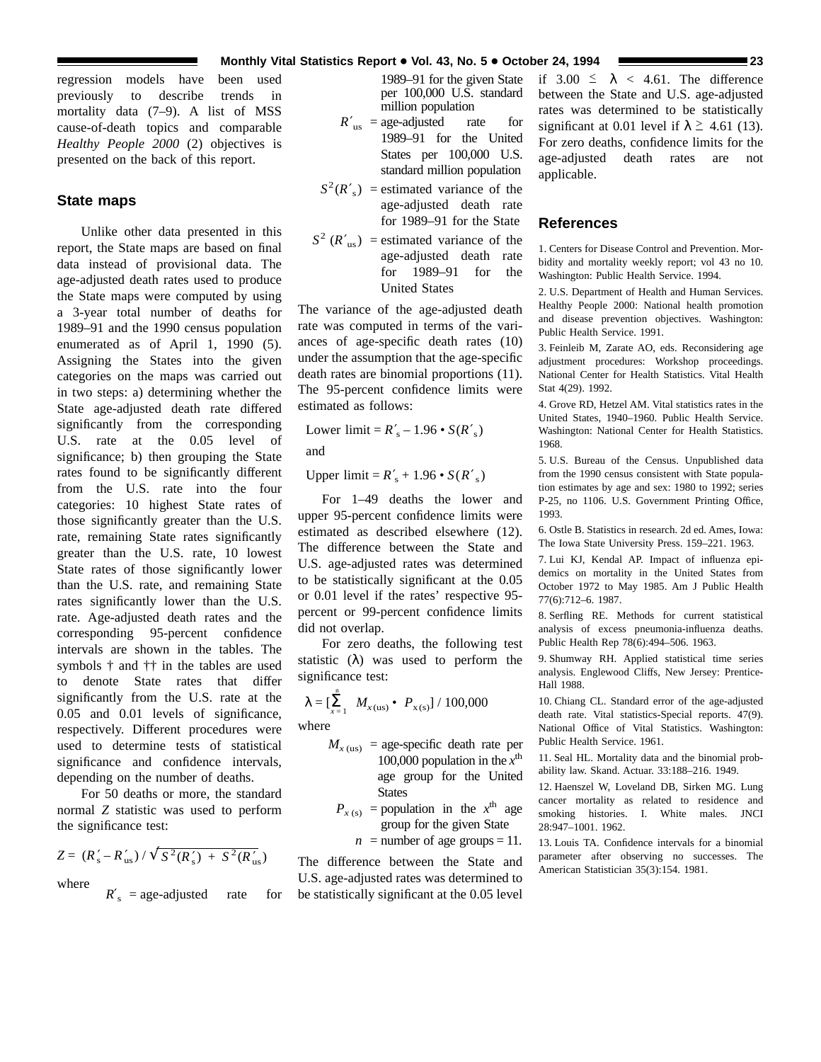regression models have been used previously to describe trends in mortality data (7–9). A list of MSS cause-of-death topics and comparable *Healthy People 2000* (2) objectives is presented on the back of this report.

#### **State maps**

Unlike other data presented in this report, the State maps are based on final data instead of provisional data. The age-adjusted death rates used to produce the State maps were computed by using a 3-year total number of deaths for 1989–91 and the 1990 census population enumerated as of April 1, 1990 (5). Assigning the States into the given categories on the maps was carried out in two steps: a) determining whether the State age-adjusted death rate differed significantly from the corresponding U.S. rate at the 0.05 level of significance; b) then grouping the State rates found to be significantly different from the U.S. rate into the four categories: 10 highest State rates of those significantly greater than the U.S. rate, remaining State rates significantly greater than the U.S. rate, 10 lowest State rates of those significantly lower than the U.S. rate, and remaining State rates significantly lower than the U.S. rate. Age-adjusted death rates and the corresponding 95-percent confidence intervals are shown in the tables. The symbols † and †† in the tables are used to denote State rates that differ significantly from the U.S. rate at the 0.05 and 0.01 levels of significance, respectively. Different procedures were used to determine tests of statistical significance and confidence intervals, depending on the number of deaths.

For 50 deaths or more, the standard normal *Z* statistic was used to perform the significance test:

$$
Z = (R'_s - R'_{us}) / \sqrt{S^2(R'_s) + S^2(R'_{us})}
$$

where

 $R'$ <sub>s</sub> = age-adjusted rate for

1989–91 for the given State per 100,000 U.S. standard million population

- $R'_{\text{us}}$  = age-adjusted rate for 1989–91 for the United States per 100,000 U.S. standard million population
- $S^2(R'_s)$  = estimated variance of the age-adjusted death rate for 1989–91 for the State
- $S^2$  ( $R'_{us}$ ) = estimated variance of the age-adjusted death rate for 1989–91 for the United States

The variance of the age-adjusted death rate was computed in terms of the variances of age-specific death rates (10) under the assumption that the age-specific death rates are binomial proportions (11). The 95-percent confidence limits were estimated as follows:

Lower limit =  $R'_s - 1.96 \cdot S(R'_s)$ 

and

Upper  $\text{limit} = R'_{\text{s}} + 1.96 \cdot S(R'_{\text{s}})$ 

For 1–49 deaths the lower and upper 95-percent confidence limits were estimated as described elsewhere (12). The difference between the State and U.S. age-adjusted rates was determined to be statistically significant at the 0.05 or 0.01 level if the rates' respective 95 percent or 99-percent confidence limits did not overlap.

For zero deaths, the following test statistic  $(\lambda)$  was used to perform the significance test:

$$
\lambda = \left[\sum_{x=1}^{n} M_{x(\text{us})} \bullet P_{x(\text{s})}\right] / 100,000
$$

where

- $M_{x \text{ (us)}}$  = age-specific death rate per 100,000 population in the  $x^{\text{th}}$ age group for the United **States** 
	- $P_{x(s)}$  = population in the  $x^{\text{th}}$  age group for the given State

 $n =$  number of age groups = 11.

The difference between the State and U.S. age-adjusted rates was determined to be statistically significant at the 0.05 level if  $3.00 \le \lambda < 4.61$ . The difference between the State and U.S. age-adjusted rates was determined to be statistically significant at 0.01 level if  $\lambda \geq 4.61$  (13). For zero deaths, confidence limits for the age-adjusted death rates are not applicable.

#### **References**

1. Centers for Disease Control and Prevention. Morbidity and mortality weekly report; vol 43 no 10. Washington: Public Health Service. 1994.

2. U.S. Department of Health and Human Services. Healthy People 2000: National health promotion and disease prevention objectives. Washington: Public Health Service. 1991.

3. Feinleib M, Zarate AO, eds. Reconsidering age adjustment procedures: Workshop proceedings. National Center for Health Statistics. Vital Health Stat 4(29). 1992.

4. Grove RD, Hetzel AM. Vital statistics rates in the United States, 1940–1960. Public Health Service. Washington: National Center for Health Statistics. 1968.

5. U.S. Bureau of the Census. Unpublished data from the 1990 census consistent with State population estimates by age and sex: 1980 to 1992; series P-25, no 1106. U.S. Government Printing Office, 1993.

6. Ostle B. Statistics in research. 2d ed. Ames, Iowa: The Iowa State University Press. 159–221. 1963.

7. Lui KJ, Kendal AP. Impact of influenza epidemics on mortality in the United States from October 1972 to May 1985. Am J Public Health 77(6):712–6. 1987.

8. Serfling RE. Methods for current statistical analysis of excess pneumonia-influenza deaths. Public Health Rep 78(6):494–506. 1963.

9. Shumway RH. Applied statistical time series analysis. Englewood Cliffs, New Jersey: Prentice-Hall 1988.

10. Chiang CL. Standard error of the age-adjusted death rate. Vital statistics-Special reports. 47(9). National Office of Vital Statistics. Washington: Public Health Service. 1961.

11. Seal HL. Mortality data and the binomial probability law. Skand. Actuar. 33:188–216. 1949.

12. Haenszel W, Loveland DB, Sirken MG. Lung cancer mortality as related to residence and smoking histories. I. White males. JNCI 28:947–1001. 1962.

13. Louis TA. Confidence intervals for a binomial parameter after observing no successes. The American Statistician 35(3):154. 1981.